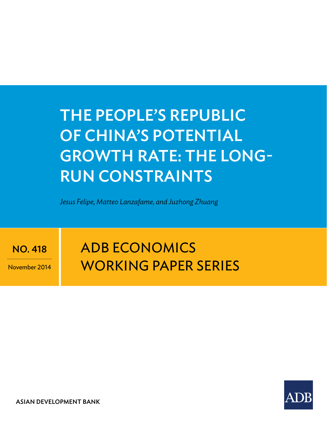# The PeoPle's RePuBliC of ChinA's PoTenTiAl GRowTh RATe: The lonG-Run ConsTRAinTs

*Jesus Felipe, Matteo Lanzafame, and Juzhong Zhuang*

no. 418

November 2014

# **ADB ECONOMICS** working paper series



ASIAN DEVELOPMENT BANK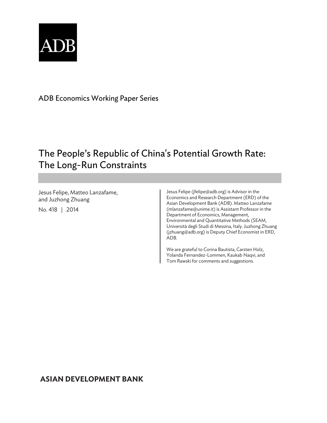

ADB Economics Working Paper Series

# The People's Republic of China's Potential Growth Rate: The Long-Run Constraints

Jesus Felipe, Matteo Lanzafame, and Juzhong Zhuang No. 418 | 2014

Jesus Felipe (jfelipe@adb.org) is Advisor in the Economics and Research Department (ERD) of the Asian Development Bank (ADB). Matteo Lanzafame (mlanzafame@unime.it) is Assistant Professor in the Department of Economics, Management, Environmental and Quantitative Methods (SEAM, Università degli Studi di Messina, Italy. Juzhong Zhuang (jzhuang@adb.org) is Deputy Chief Economist in ERD, ADB.

We are grateful to Corina Bautista, Carsten Holz, Yolanda Fernandez-Lommen, Kaukab Naqvi, and Tom Rawski for comments and suggestions.

# **ASIAN DEVELOPMENT BANK**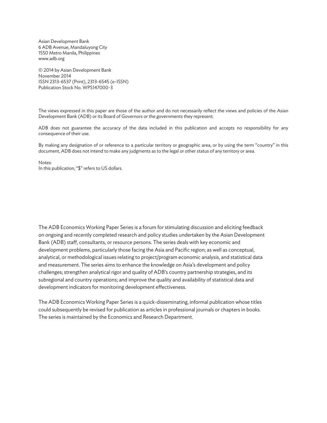Asian Development Bank 6 ADB Avenue, Mandaluyong City 1550 Metro Manila, Philippines www.adb.org

© 2014 by Asian Development Bank November 2014 ISSN 2313-6537 (Print), 2313-6545 (e-ISSN) Publication Stock No. WPS147000-3

The views expressed in this paper are those of the author and do not necessarily reflect the views and policies of the Asian Development Bank (ADB) or its Board of Governors or the governments they represent.

ADB does not guarantee the accuracy of the data included in this publication and accepts no responsibility for any consequence of their use.

By making any designation of or reference to a particular territory or geographic area, or by using the term "country" in this document, ADB does not intend to make any judgments as to the legal or other status of any territory or area.

Notes: In this publication, "\$" refers to US dollars.

The ADB Economics Working Paper Series is a forum for stimulating discussion and eliciting feedback on ongoing and recently completed research and policy studies undertaken by the Asian Development Bank (ADB) staff, consultants, or resource persons. The series deals with key economic and development problems, particularly those facing the Asia and Pacific region; as well as conceptual, analytical, or methodological issues relating to project/program economic analysis, and statistical data and measurement. The series aims to enhance the knowledge on Asia's development and policy challenges; strengthen analytical rigor and quality of ADB's country partnership strategies, and its subregional and country operations; and improve the quality and availability of statistical data and development indicators for monitoring development effectiveness.

The ADB Economics Working Paper Series is a quick-disseminating, informal publication whose titles could subsequently be revised for publication as articles in professional journals or chapters in books. The series is maintained by the Economics and Research Department.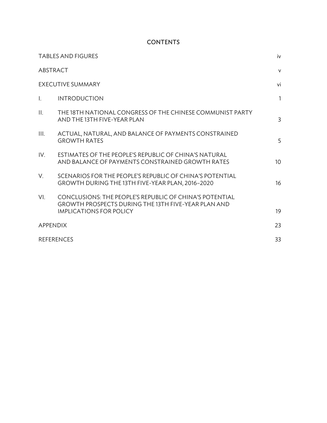# **CONTENTS**

|                 | <b>TABLES AND FIGURES</b>                                                                                                                               | iv              |  |
|-----------------|---------------------------------------------------------------------------------------------------------------------------------------------------------|-----------------|--|
|                 | ABSTRACT                                                                                                                                                | $\mathsf{v}$    |  |
|                 | <b>EXECUTIVE SUMMARY</b>                                                                                                                                | vi              |  |
| $\mathbf{L}$    | <b>INTRODUCTION</b>                                                                                                                                     | $\mathbf{1}$    |  |
| $\prod_{i=1}^n$ | THE 18TH NATIONAL CONGRESS OF THE CHINESE COMMUNIST PARTY<br>AND THE 13TH FIVE-YEAR PLAN                                                                | $\overline{3}$  |  |
| III.            | ACTUAL, NATURAL, AND BALANCE OF PAYMENTS CONSTRAINED<br><b>GROWTH RATES</b>                                                                             | 5               |  |
| IV.             | ESTIMATES OF THE PEOPLE'S REPUBLIC OF CHINA'S NATURAL<br>AND BALANCE OF PAYMENTS CONSTRAINED GROWTH RATES                                               | 10 <sup>°</sup> |  |
| V.              | SCENARIOS FOR THE PEOPLE'S REPUBLIC OF CHINA'S POTENTIAL<br>GROWTH DURING THE 13TH FIVE-YEAR PLAN, 2016-2020                                            | 16              |  |
| VI.             | CONCLUSIONS: THE PEOPLE'S REPUBLIC OF CHINA'S POTENTIAL<br><b>GROWTH PROSPECTS DURING THE 13TH FIVE-YEAR PLAN AND</b><br><b>IMPLICATIONS FOR POLICY</b> | 19              |  |
|                 |                                                                                                                                                         | 23              |  |
|                 | <b>APPENDIX</b>                                                                                                                                         |                 |  |
|                 | <b>REFERENCES</b>                                                                                                                                       | 33              |  |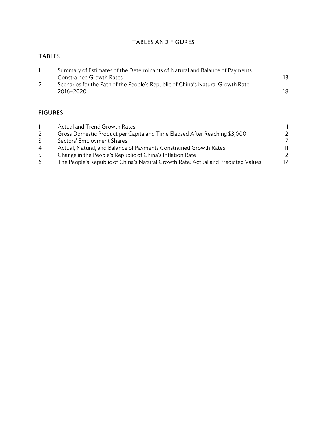# TABLES AND FIGURES

# TABLES

| Summary of Estimates of the Determinants of Natural and Balance of Payments     |    |
|---------------------------------------------------------------------------------|----|
| Constrained Growth Rates                                                        |    |
| Scenarios for the Path of the People's Republic of China's Natural Growth Rate, |    |
| 2016-2020                                                                       | 18 |

# FIGURES

|                | Actual and Trend Growth Rates                                                     |               |
|----------------|-----------------------------------------------------------------------------------|---------------|
| 2              | Gross Domestic Product per Capita and Time Elapsed After Reaching \$3,000         | $\mathcal{L}$ |
| 3              | Sectors' Employment Shares                                                        |               |
| $\overline{4}$ | Actual, Natural, and Balance of Payments Constrained Growth Rates                 | 11            |
| 5.             | Change in the People's Republic of China's Inflation Rate                         | 12.           |
| 6              | The People's Republic of China's Natural Growth Rate: Actual and Predicted Values | 17            |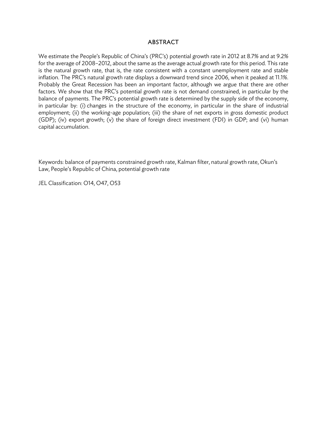#### **ABSTRACT**

We estimate the People's Republic of China's (PRC's) potential growth rate in 2012 at 8.7% and at 9.2% for the average of 2008–2012, about the same as the average actual growth rate for this period. This rate is the natural growth rate, that is, the rate consistent with a constant unemployment rate and stable inflation. The PRC's natural growth rate displays a downward trend since 2006, when it peaked at 11.1%. Probably the Great Recession has been an important factor, although we argue that there are other factors. We show that the PRC's potential growth rate is not demand constrained, in particular by the balance of payments. The PRC's potential growth rate is determined by the supply side of the economy, in particular by: (i) changes in the structure of the economy, in particular in the share of industrial employment; (ii) the working-age population; (iii) the share of net exports in gross domestic product (GDP); (iv) export growth; (v) the share of foreign direct investment (FDI) in GDP; and (vi) human capital accumulation.

Keywords: balance of payments constrained growth rate, Kalman filter, natural growth rate, Okun's Law, People's Republic of China, potential growth rate

JEL Classification: O14, O47, O53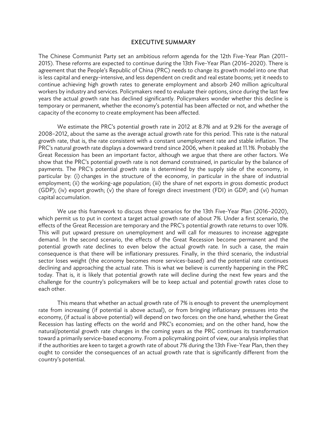#### EXECUTIVE SUMMARY

The Chinese Communist Party set an ambitious reform agenda for the 12th Five-Year Plan (2011– 2015). These reforms are expected to continue during the 13th Five-Year Plan (2016–2020). There is agreement that the People's Republic of China (PRC) needs to change its growth model into one that is less capital and energy-intensive, and less dependent on credit and real estate booms; yet it needs to continue achieving high growth rates to generate employment and absorb 240 million agricultural workers by industry and services. Policymakers need to evaluate their options, since during the last few years the actual growth rate has declined significantly. Policymakers wonder whether this decline is temporary or permanent, whether the economy's potential has been affected or not, and whether the capacity of the economy to create employment has been affected.

We estimate the PRC's potential growth rate in 2012 at 8.7% and at 9.2% for the average of 2008–2012, about the same as the average actual growth rate for this period. This rate is the natural growth rate, that is, the rate consistent with a constant unemployment rate and stable inflation. The PRC's natural growth rate displays a downward trend since 2006, when it peaked at 11.1%. Probably the Great Recession has been an important factor, although we argue that there are other factors. We show that the PRC's potential growth rate is not demand constrained, in particular by the balance of payments. The PRC's potential growth rate is determined by the supply side of the economy, in particular by: (i) changes in the structure of the economy, in particular in the share of industrial employment; (ii) the working-age population; (iii) the share of net exports in gross domestic product (GDP); (iv) export growth; (v) the share of foreign direct investment (FDI) in GDP; and (vi) human capital accumulation.

We use this framework to discuss three scenarios for the 13th Five-Year Plan (2016–2020), which permit us to put in context a target actual growth rate of about 7%. Under a first scenario, the effects of the Great Recession are temporary and the PRC's potential growth rate returns to over 10%. This will put upward pressure on unemployment and will call for measures to increase aggregate demand. In the second scenario, the effects of the Great Recession become permanent and the potential growth rate declines to even below the actual growth rate. In such a case, the main consequence is that there will be inflationary pressures. Finally, in the third scenario, the industrial sector loses weight (the economy becomes more services-based) and the potential rate continues declining and approaching the actual rate. This is what we believe is currently happening in the PRC today. That is, it is likely that potential growth rate will decline during the next few years and the challenge for the country's policymakers will be to keep actual and potential growth rates close to each other.

This means that whether an actual growth rate of 7% is enough to prevent the unemployment rate from increasing (if potential is above actual), or from bringing inflationary pressures into the economy, (if actual is above potential) will depend on two forces: on the one hand, whether the Great Recession has lasting effects on the world and PRC's economies; and on the other hand, how the natural/potential growth rate changes in the coming years as the PRC continues its transformation toward a primarily service-based economy. From a policymaking point of view, our analysis implies that if the authorities are keen to target a growth rate of about 7% during the 13th Five-Year Plan, then they ought to consider the consequences of an actual growth rate that is significantly different from the country's potential.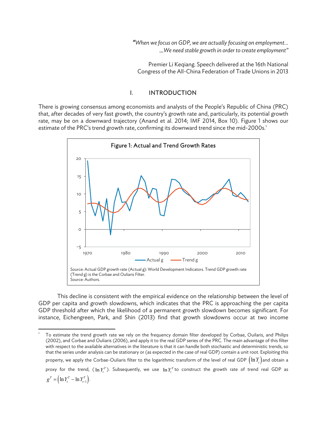*"When we focus on GDP, we are actually focusing on employment…*  …*We need stable growth in order to create employment"* 

Premier Li Keqiang. Speech delivered at the 16th National Congress of the All-China Federation of Trade Unions in 2013

#### I. INTRODUCTION

There is growing consensus among economists and analysts of the People's Republic of China (PRC) that, after decades of very fast growth, the country's growth rate and, particularly, its potential growth rate, may be on a downward trajectory (Anand et al. 2014; IMF 2014, Box 10). Figure 1 shows our estimate of the PRC's trend growth rate, confirming its downward trend since the mid-2000s.<sup>1</sup>



This decline is consistent with the empirical evidence on the relationship between the level of GDP per capita and growth slowdowns, which indicates that the PRC is approaching the per capita GDP threshold after which the likelihood of a permanent growth slowdown becomes significant. For instance, Eichengreen, Park, and Shin (2013) find that growth slowdowns occur at two income

 1 To estimate the trend growth rate we rely on the frequency domain filter developed by Corbae, Ouilaris, and Philips (2002), and Corbae and Ouliaris (2006), and apply it to the real GDP series of the PRC. The main advantage of this filter with respect to the available alternatives in the literature is that it can handle both stochastic and deterministic trends, so that the series under analysis can be stationary or (as expected in the case of real GDP) contain a unit root. Exploiting this property, we apply the Corbae-Ouliaris filter to the logarithmic transform of the level of real GDP  $(\ln Y_t)$  and obtain a proxy for the trend,  $(\ln Y_t^T)$ . Subsequently, we use  $\ln Y_t^T$  to construct the growth rate of trend real GDP as  $g^T = \left(\ln Y_t^T - \ln Y_{t-1}^T\right)$ .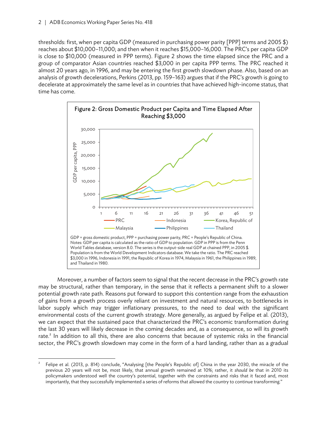thresholds: first, when per capita GDP (measured in purchasing power parity [PPP] terms and 2005 \$) reaches about \$10,000–11,000; and then when it reaches \$15,000–16,000. The PRC's per capita GDP is close to \$10,000 (measured in PPP terms). Figure 2 shows the time elapsed since the PRC and a group of comparator Asian countries reached \$3,000 in per capita PPP terms. The PRC reached it almost 20 years ago, in 1996, and may be entering the first growth slowdown phase. Also, based on an analysis of growth decelerations, Perkins (2013, pp. 159–163) argues that if the PRC's growth is going to decelerate at approximately the same level as in countries that have achieved high-income status, that time has come.



Moreover, a number of factors seem to signal that the recent decrease in the PRC's growth rate may be structural, rather than temporary, in the sense that it reflects a permanent shift to a slower potential growth rate path. Reasons put forward to support this contention range from the exhaustion of gains from a growth process overly reliant on investment and natural resources, to bottlenecks in labor supply which may trigger inflationary pressures, to the need to deal with the significant environmental costs of the current growth strategy. More generally, as argued by Felipe et al. (2013), we can expect that the sustained pace that characterized the PRC's economic transformation during the last 30 years will likely decrease in the coming decades and, as a consequence, so will its growth rate.<sup>2</sup> In addition to all this, there are also concerns that because of systemic risks in the financial sector, the PRC's growth slowdown may come in the form of a hard landing, rather than as a gradual

 2 Felipe et al. (2013, p. 814) conclude, "Analysing [the People's Republic of] China in the year 2030, the miracle of the previous 20 years will not be, most likely, that annual growth remained at 10%; rather, it *should be* that in 2010 its policymakers understood well the country's potential, together with the constraints and risks that it faced and, most importantly, that they successfully implemented a series of reforms that allowed the country to continue transforming."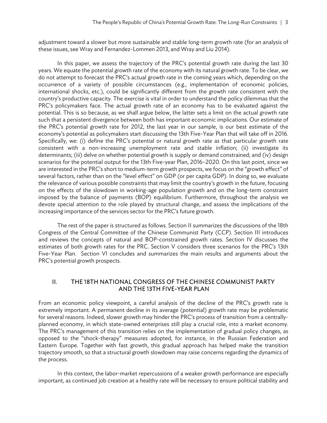adjustment toward a slower but more sustainable and stable long-term growth rate (for an analysis of these issues, see Wray and Fernandez-Lommen 2013, and Wray and Liu 2014).

In this paper, we assess the trajectory of the PRC's potential growth rate during the last 30 years. We equate the potential growth rate of the economy with its natural growth rate. To be clear, we do not attempt to forecast the PRC's actual growth rate in the coming years which, depending on the occurrence of a variety of possible circumstances (e.g., implementation of economic policies, international shocks, etc.), could be significantly different from the growth rate consistent with the country's productive capacity. The exercise is vital in order to understand the policy dilemmas that the PRC's policymakers face. The actual growth rate of an economy has to be evaluated against the potential. This is so because, as we shall argue below, the latter sets a limit on the actual growth rate such that a persistent divergence between both has important economic implications. Our estimate of the PRC's potential growth rate for 2012, the last year in our sample, is our best estimate of the economy's potential as policymakers start discussing the 13th Five-Year Plan that will take off in 2016. Specifically, we: (i) define the PRC's potential or natural growth rate as that particular growth rate consistent with a non-increasing unemployment rate and stable inflation; (ii) investigate its determinants; (iii) delve on whether potential growth is supply or demand constrained; and (iv) design scenarios for the potential output for the 13th Five-year Plan, 2016–2020. On this last point, since we are interested in the PRC's short to medium-term growth prospects, we focus on the "growth effect" of several factors, rather than on the "level effect" on GDP (or per capita GDP). In doing so, we evaluate the relevance of various possible constraints that may limit the country's growth in the future, focusing on the effects of the slowdown in working-age population growth and on the long-term constraint imposed by the balance of payments (BOP) equilibrium. Furthermore, throughout the analysis we devote special attention to the role played by structural change, and assess the implications of the increasing importance of the services sector for the PRC's future growth.

The rest of the paper is structured as follows. Section II summarizes the discussions of the 18th Congress of the Central Committee of the Chinese Communist Party (CCP). Section III introduces and reviews the concepts of natural and BOP-constrained growth rates. Section IV discusses the estimates of both growth rates for the PRC. Section V considers three scenarios for the PRC's 13th Five-Year Plan. Section VI concludes and summarizes the main results and arguments about the PRC's potential growth prospects.

## II. THE 18TH NATIONAL CONGRESS OF THE CHINESE COMMUNIST PARTY AND THE 13TH FIVE-YEAR PLAN

From an economic policy viewpoint, a careful analysis of the decline of the PRC's growth rate is extremely important. A permanent decline in its average (potential) growth rate may be problematic for several reasons. Indeed, slower growth may hinder the PRC's process of transition from a centrallyplanned economy, in which state-owned enterprises still play a crucial role, into a market economy. The PRC's management of this transition relies on the implementation of gradual policy changes, as opposed to the "shock-therapy" measures adopted, for instance, in the Russian Federation and Eastern Europe. Together with fast growth, this gradual approach has helped make the transition trajectory smooth, so that a structural growth slowdown may raise concerns regarding the dynamics of the process.

In this context, the labor-market repercussions of a weaker growth performance are especially important, as continued job creation at a healthy rate will be necessary to ensure political stability and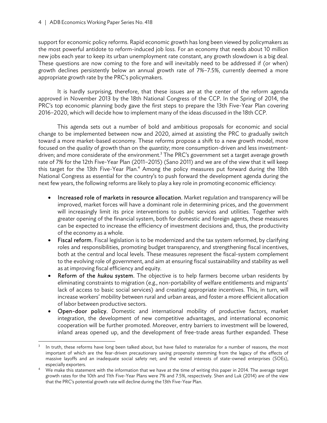support for economic policy reforms. Rapid economic growth has long been viewed by policymakers as the most powerful antidote to reform-induced job loss. For an economy that needs about 10 million new jobs each year to keep its urban unemployment rate constant, any growth slowdown is a big deal. These questions are now coming to the fore and will inevitably need to be addressed if (or when) growth declines persistently below an annual growth rate of 7%–7.5%, currently deemed a more appropriate growth rate by the PRC's policymakers.

It is hardly surprising, therefore, that these issues are at the center of the reform agenda approved in November 2013 by the 18th National Congress of the CCP. In the Spring of 2014, the PRC's top economic planning body gave the first steps to prepare the 13th Five-Year Plan covering 2016–2020, which will decide how to implement many of the ideas discussed in the 18th CCP.

This agenda sets out a number of bold and ambitious proposals for economic and social change to be implemented between now and 2020, aimed at assisting the PRC to gradually switch toward a more market-based economy. These reforms propose a shift to a new growth model, more focused on the *quality* of growth than on the *quantity*; more consumption-driven and less investmentdriven; and more considerate of the environment.<sup>3</sup> The PRC's government set a target average growth rate of 7% for the 12th Five-Year Plan (2011–2015) (Sano 2011) and we are of the view that it will keep this target for the 13th Five-Year Plan.<sup>4</sup> Among the policy measures put forward during the 18th National Congress as essential for the country's to push forward the development agenda during the next few years, the following reforms are likely to play a key role in promoting economic efficiency:

- Increased role of markets in resource allocation. Market regulation and transparency will be improved, market forces will have a dominant role in determining prices, and the government will increasingly limit its price interventions to public services and utilities. Together with greater opening of the financial system, both for domestic and foreign agents, these measures can be expected to increase the efficiency of investment decisions and, thus, the productivity of the economy as a whole.
- Fiscal reform. Fiscal legislation is to be modernized and the tax system reformed, by clarifying roles and responsibilities, promoting budget transparency, and strengthening fiscal incentives, both at the central and local levels. These measures represent the fiscal-system complement to the evolving role of government, and aim at ensuring fiscal sustainability and stability as well as at improving fiscal efficiency and equity.
- Reform of the *hukou* system. The objective is to help farmers become urban residents by eliminating constraints to migration (e.g., non-portability of welfare entitlements and migrants' lack of access to basic social services) and creating appropriate incentives. This, in turn, will increase workers' mobility between rural and urban areas, and foster a more efficient allocation of labor between productive sectors.
- Open-door policy. Domestic and international mobility of productive factors, market integration, the development of new competitive advantages, and international economic cooperation will be further promoted. Moreover, entry barriers to investment will be lowered, inland areas opened up, and the development of free-trade areas further expanded. These

<sup>3</sup> In truth, these reforms have long been talked about, but have failed to materialize for a number of reasons, the most important of which are the fear-driven precautionary saving propensity stemming from the legacy of the effects of massive layoffs and an inadequate social safety net; and the vested interests of state-owned enterprises (SOEs), especially exporters. 4

We make this statement with the information that we have at the time of writing this paper in 2014. The average target growth rates for the 10th and 11th Five-Year Plans were 7% and 7.5%, respectively. Shen and Luk (2014) are of the view that the PRC's potential growth rate will decline during the 13th Five-Year Plan.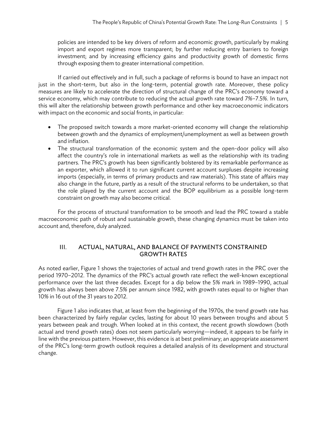policies are intended to be key drivers of reform and economic growth, particularly by making import and export regimes more transparent; by further reducing entry barriers to foreign investment; and by increasing efficiency gains and productivity growth of domestic firms through exposing them to greater international competition.

If carried out effectively and in full, such a package of reforms is bound to have an impact not just in the short-term, but also in the long-term, potential growth rate. Moreover, these policy measures are likely to accelerate the direction of structural change of the PRC's economy toward a service economy, which may contribute to reducing the actual growth rate toward 7%–7.5%. In turn, this will alter the relationship between growth performance and other key macroeconomic indicators with impact on the economic and social fronts, in particular:

- The proposed switch towards a more market-oriented economy will change the relationship between growth and the dynamics of employment/unemployment as well as between growth and inflation.
- The structural transformation of the economic system and the open-door policy will also affect the country's role in international markets as well as the relationship with its trading partners. The PRC's growth has been significantly bolstered by its remarkable performance as an exporter, which allowed it to run significant current account surpluses despite increasing imports (especially, in terms of primary products and raw materials). This state of affairs may also change in the future, partly as a result of the structural reforms to be undertaken, so that the role played by the current account and the BOP equilibrium as a possible long-term constraint on growth may also become critical.

For the process of structural transformation to be smooth and lead the PRC toward a stable macroeconomic path of robust and sustainable growth, these changing dynamics must be taken into account and, therefore, duly analyzed.

## III. ACTUAL, NATURAL, AND BALANCE OF PAYMENTS CONSTRAINED GROWTH RATES

As noted earlier, Figure 1 shows the trajectories of actual and trend growth rates in the PRC over the period 1970–2012. The dynamics of the PRC's actual growth rate reflect the well-known exceptional performance over the last three decades. Except for a dip below the 5% mark in 1989–1990, actual growth has always been above 7.5% per annum since 1982, with growth rates equal to or higher than 10% in 16 out of the 31 years to 2012.

Figure 1 also indicates that, at least from the beginning of the 1970s, the trend growth rate has been characterized by fairly regular cycles, lasting for about 10 years between troughs and about 5 years between peak and trough. When looked at in this context, the recent growth slowdown (both actual and trend growth rates) does not seem particularly worrying—indeed, it appears to be fairly in line with the previous pattern. However, this evidence is at best preliminary; an appropriate assessment of the PRC's long-term growth outlook requires a detailed analysis of its development and structural change.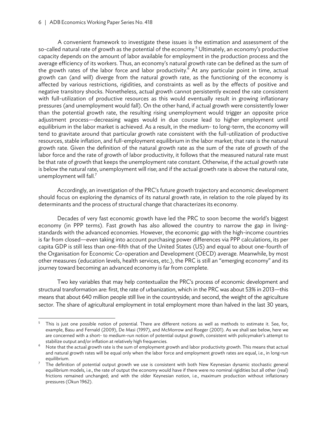#### 6 | ADB Economics Working Paper Series No. 418

A convenient framework to investigate these issues is the estimation and assessment of the so-called natural rate of growth as the potential of the economy.<sup>5</sup> Ultimately, an economy's productive capacity depends on the amount of labor available for employment in the production process and the average efficiency of its workers. Thus, an economy's natural growth rate can be defined as the sum of the growth rates of the labor force and labor productivity.<sup>6</sup> At any particular point in time, actual growth can (and will) diverge from the natural growth rate, as the functioning of the economy is affected by various restrictions, rigidities, and constraints as well as by the effects of positive and negative transitory shocks. Nonetheless, actual growth cannot persistently exceed the rate consistent with full-utilization of productive resources as this would eventually result in growing inflationary pressures (and unemployment would fall). On the other hand, if actual growth were consistently lower than the potential growth rate, the resulting rising unemployment would trigger an opposite price adjustment process—decreasing wages would in due course lead to higher employment until equilibrium in the labor market is achieved. As a result, in the medium- to long-term, the economy will tend to gravitate around that particular growth rate consistent with the full-utilization of productive resources, stable inflation, and full-employment equilibrium in the labor market; that rate is the natural growth rate. Given the definition of the natural growth rate as the sum of the rate of growth of the labor force and the rate of growth of labor productivity, it follows that the measured natural rate must be that rate of growth that keeps the unemployment rate constant. Otherwise, if the actual growth rate is below the natural rate, unemployment will rise; and if the actual growth rate is above the natural rate, unemployment will fall.<sup>7</sup>

Accordingly, an investigation of the PRC's future growth trajectory and economic development should focus on exploring the dynamics of its natural growth rate, in relation to the role played by its determinants and the process of structural change that characterizes its economy.

Decades of very fast economic growth have led the PRC to soon become the world's biggest economy (in PPP terms). Fast growth has also allowed the country to narrow the gap in livingstandards with the advanced economies. However, the economic gap with the high-income countries is far from closed—even taking into account purchasing power differences via PPP calculations, its per capita GDP is still less than one-fifth that of the United States (US) and equal to about one-fourth of the Organisation for Economic Co-operation and Development (OECD) average. Meanwhile, by most other measures (education levels, health services, etc.), the PRC is still an "emerging economy" and its journey toward becoming an advanced economy is far from complete.

Two key variables that may help contextualize the PRC's process of economic development and structural transformation are: first, the rate of urbanization, which in the PRC was about 53% in 2013—this means that about 640 million people still live in the countryside; and second, the weight of the agriculture sector. The share of agricultural employment in total employment more than halved in the last 30 years,

<sup>5</sup> This is just one possible notion of potential. There are different notions as well as methods to estimate it. See, for, example, Basu and Fernald (2009), De Masi (1997), and McMorrow and Roeger (2001). As we shall see below, here we are concerned with a short- to medium-run notion of potential output growth, consistent with policymaker's attempt to stabilize output and/or inflation at relatively high frequencies. 6

Note that the actual growth rate is the sum of employment growth and labor productivity growth. This means that actual and natural growth rates will be equal only when the labor force and employment growth rates are equal, i.e., in long-run equilibrium. 7

The definition of potential output growth we use is consistent with both New Keynesian dynamic stochastic general equilibrium models, i.e., the rate of output the economy would have if there were no nominal rigidities but all other (real) frictions remained unchanged; and with the older Keynesian notion, i.e., maximum production without inflationary pressures (Okun 1962).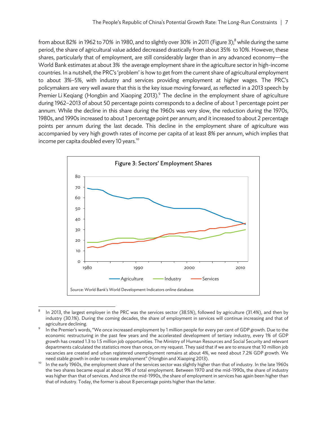from about 82% in 1962 to 70% in 1980, and to slightly over 30% in 2011 (Figure 3); $^8$  while during the same period, the share of agricultural value added decreased drastically from about 35% to 10%. However, these shares, particularly that of employment, are still considerably larger than in any advanced economy—the World Bank estimates at about 3% the average employment share in the agriculture sector in high-income countries. In a nutshell, the PRC's 'problem' is how to get from the current share of agricultural employment to about 3%–5%, with industry and services providing employment at higher wages. The PRC's policymakers are very well aware that this is the key issue moving forward, as reflected in a 2013 speech by Premier Li Keqiang (Hongbin and Xiaoping 2013).<sup>9</sup> The decline in the employment share of agriculture during 1962–2013 of about 50 percentage points corresponds to a decline of about 1 percentage point per annum. While the decline in this share during the 1960s was very slow, the reduction during the 1970s, 1980s, and 1990s increased to about 1 percentage point per annum; and it increased to about 2 percentage points per annum during the last decade. This decline in the employment share of agriculture was accompanied by very high growth rates of income per capita of at least 8% per annum, which implies that income per capita doubled every 10 years.<sup>10</sup>



 8 In 2013, the largest employer in the PRC was the services sector (38.5%), followed by agriculture (31.4%), and then by industry (30.1%). During the coming decades, the share of employment in services will continue increasing and that of agriculture declining.

In the Premier's words, "We once increased employment by 1 million people for every per cent of GDP growth. Due to the economic restructuring in the past few years and the accelerated development of tertiary industry, every 1% of GDP growth has created 1.3 to 1.5 million job opportunities. The Ministry of Human Resources and Social Security and relevant departments calculated the statistics more than once, on my request. They said that if we are to ensure that 10 million job vacancies are created and urban registered unemployment remains at about 4%, we need about 7.2% GDP growth. We

need stable growth in order to create employment" (Hongbin and Xiaoping 2013).<br>In the early 1960s, the employment share of the services sector was slightly higher than that of industry. In the late 1960s the two shares became equal at about 9% of total employment. Between 1970 and the mid-1990s, the share of industry was higher than that of services. And since the mid-1990s, the share of employment in services has again been higher than that of industry. Today, the former is about 8 percentage points higher than the latter.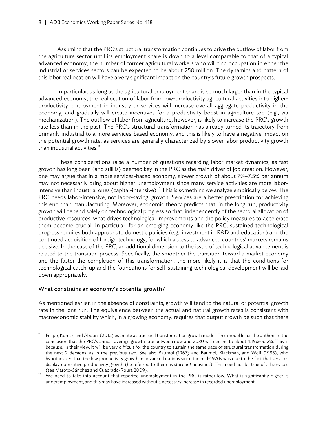Assuming that the PRC's structural transformation continues to drive the outflow of labor from the agriculture sector until its employment share is down to a level comparable to that of a typical advanced economy, the number of former agricultural workers who will find occupation in either the industrial or services sectors can be expected to be about 250 million. The dynamics and pattern of this labor reallocation will have a very significant impact on the country's future growth prospects.

In particular, as long as the agricultural employment share is so much larger than in the typical advanced economy, the reallocation of labor from low-productivity agricultural activities into higherproductivity employment in industry or services will increase overall aggregate productivity in the economy, and gradually will create incentives for a productivity boost in agriculture too (e.g., via mechanization). The outflow of labor from agriculture, however, is likely to increase the PRC's growth rate less than in the past. The PRC's structural transformation has already turned its trajectory from primarily industrial to a more services-based economy, and this is likely to have a negative impact on the potential growth rate, as services are generally characterized by slower labor productivity growth than industrial activities. $<sup>11</sup>$ </sup>

These considerations raise a number of questions regarding labor market dynamics, as fast growth has long been (and still is) deemed key in the PRC as the main driver of job creation. However, one may argue that in a more services-based economy, slower growth of about 7%–7.5% per annum may not necessarily bring about higher unemployment since many service activities are more laborintensive than industrial ones (capital-intensive).<sup>12</sup> This is something we analyze empirically below. The PRC needs labor-intensive, not labor-saving, growth. Services are a better prescription for achieving this end than manufacturing. Moreover, economic theory predicts that, in the long run, productivity growth will depend solely on technological progress so that, independently of the sectoral allocation of productive resources, what drives technological improvements and the policy measures to accelerate them become crucial. In particular, for an emerging economy like the PRC, sustained technological progress requires both appropriate domestic policies (e.g., investment in R&D and education) and the continued acquisition of foreign technology, for which access to advanced countries' markets remains decisive. In the case of the PRC, an additional dimension to the issue of technological advancement is related to the transition process. Specifically, the smoother the transition toward a market economy and the faster the completion of this transformation, the more likely it is that the conditions for technological catch-up and the foundations for self-sustaining technological development will be laid down appropriately.

## What constrains an economy's potential growth?

As mentioned earlier, in the absence of constraints, growth will tend to the natural or potential growth rate in the long run. The equivalence between the actual and natural growth rates is consistent with macroeconomic stability which, in a growing economy, requires that output growth be such that there

 Felipe, Kumar, and Abdon (2012) estimate a structural transformation growth model. This model leads the authors to the conclusion that the PRC's annual average growth rate between now and 2030 will decline to about 4.15%–5.12%. This is because, in their view, it will be very difficult for the country to sustain the same pace of structural transformation during the next 2 decades, as in the previous two. See also Baumol (1967) and Baumol, Blackman, and Wolf (1985), who hypothesized that the low productivity growth in advanced nations since the mid-1970s was due to the fact that services display no relative productivity growth (he referred to them as *stagnant* activities). This need not be true of all services

<sup>(</sup>see Maroto-Sánchez and Cuadrado-Roura 2009).<br><sup>12</sup> We need to take into account that reported unemployment in the PRC is rather low. What is significantly higher is underemployment, and this may have increased without a necessary increase in recorded unemployment.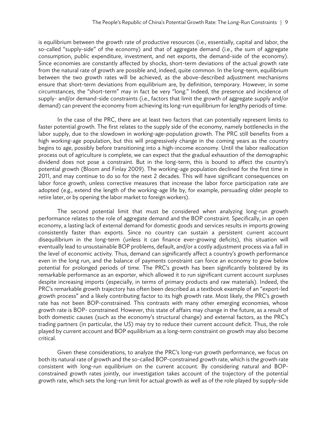is equilibrium between the growth rate of productive resources (i.e., essentially, capital and labor, the so-called "supply-side" of the economy) and that of aggregate demand (i.e., the sum of aggregate consumption, public expenditure, investment, and net exports, the demand-side of the economy). Since economies are constantly affected by shocks, short-term deviations of the actual growth rate from the natural rate of growth are possible and, indeed, quite common. In the long-term, equilibrium between the two growth rates will be achieved, as the above-described adjustment mechanisms ensure that short-term deviations from equilibrium are, by definition, temporary. However, in some circumstances, the "short-term" may in fact be very "long." Indeed, the presence and incidence of supply- and/or demand-side constraints (i.e., factors that limit the growth of aggregate supply and/or demand) can prevent the economy from achieving its long-run equilibrium for lengthy periods of time.

In the case of the PRC, there are at least two factors that can potentially represent limits to faster potential growth. The first relates to the supply side of the economy, namely bottlenecks in the labor supply, due to the slowdown in working-age-population growth. The PRC still benefits from a high working-age population, but this will progressively change in the coming years as the country begins to age, possibly before transitioning into a high-income economy. Until the labor reallocation process out of agriculture is complete, we can expect that the gradual exhaustion of the demographic dividend does not pose a constraint. But in the long-term, this is bound to affect the country's potential growth (Bloom and Finlay 2009). The working-age population declined for the first time in 2011, and may continue to do so for the next 2 decades. This will have significant consequences on labor force growth, unless corrective measures that increase the labor force participation rate are adopted (e.g., extend the length of the working-age life by, for example, persuading older people to retire later, or by opening the labor market to foreign workers).

The second potential limit that must be considered when analyzing long-run growth performance relates to the role of aggregate demand and the BOP constraint. Specifically, in an open economy, a lasting lack of external demand for domestic goods and services results in imports growing consistently faster than exports. Since no country can sustain a persistent current account disequilibrium in the long-term (unless it can finance ever-growing deficits), this situation will eventually lead to unsustainable BOP problems, default, and/or a costly adjustment process via a fall in the level of economic activity. Thus, demand can significantly affect a country's growth performance even in the long run, and the balance of payments constraint can force an economy to grow below potential for prolonged periods of time. The PRC's growth has been significantly bolstered by its remarkable performance as an exporter, which allowed it to run significant current account surpluses despite increasing imports (especially, in terms of primary products and raw materials). Indeed, the PRC's remarkable growth trajectory has often been described as a textbook example of an "export-led growth process" and a likely contributing factor to its high growth rate. Most likely, the PRC's growth rate has not been BOP-constrained. This contrasts with many other emerging economies, whose growth rate is BOP- constrained. However, this state of affairs may change in the future, as a result of both domestic causes (such as the economy's structural change) and external factors, as the PRC's trading partners (in particular, the US) may try to reduce their current account deficit. Thus, the role played by current account and BOP equilibrium as a long-term constraint on growth may also become critical.

Given these considerations, to analyze the PRC's long-run growth performance, we focus on both its natural rate of growth and the so-called BOP-constrained growth rate, which is the growth rate consistent with long-run equilibrium on the current account. By considering natural and BOPconstrained growth rates jointly, our investigation takes account of the trajectory of the potential growth rate, which sets the long-run limit for actual growth as well as of the role played by supply-side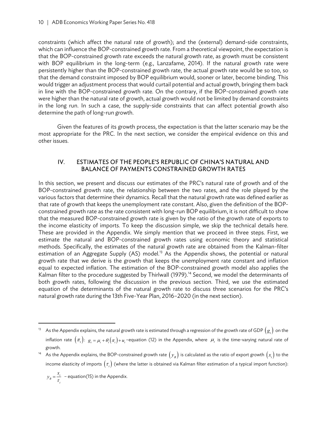constraints (which affect the natural rate of growth); and the (external) demand-side constraints, which can influence the BOP-constrained growth rate. From a theoretical viewpoint, the expectation is that the BOP-constrained growth rate exceeds the natural growth rate, as growth must be consistent with BOP equilibrium in the long-term (e.g., Lanzafame, 2014). If the natural growth rate were persistently higher than the BOP-constrained growth rate, the actual growth rate would be so too, so that the demand constraint imposed by BOP equilibrium would, sooner or later, become binding. This would trigger an adjustment process that would curtail potential and actual growth, bringing them back in line with the BOP-constrained growth rate. On the contrary, if the BOP-constrained growth rate were higher than the natural rate of growth, actual growth would not be limited by demand constraints in the long run. In such a case, the supply-side constraints that can affect potential growth also determine the path of long-run growth.

Given the features of its growth process, the expectation is that the latter scenario may be the most appropriate for the PRC. In the next section, we consider the empirical evidence on this and other issues.

## IV. ESTIMATES OF THE PEOPLE'S REPUBLIC OF CHINA'S NATURAL AND BALANCE OF PAYMENTS CONSTRAINED GROWTH RATES

In this section, we present and discuss our estimates of the PRC's natural rate of growth and of the BOP-constrained growth rate, the relationship between the two rates, and the role played by the various factors that determine their dynamics. Recall that the natural growth rate was defined earlier as that rate of growth that keeps the unemployment rate constant. Also, given the definition of the BOPconstrained growth rate as the rate consistent with long-run BOP equilibrium, it is not difficult to show that the measured BOP-constrained growth rate is given by the ratio of the growth rate of exports to the income elasticity of imports. To keep the discussion simple, we skip the technical details here. These are provided in the Appendix. We simply mention that we proceed in three steps. First, we estimate the natural and BOP-constrained growth rates using economic theory and statistical methods. Specifically, the estimates of the natural growth rate are obtained from the Kalman-filter estimation of an Aggregate Supply (AS) model.<sup>13</sup> As the Appendix shows, the potential or natural growth rate that we derive is the growth that keeps the unemployment rate constant and inflation equal to expected inflation. The estimation of the BOP-constrained growth model also applies the Kalman filter to the procedure suggested by Thirlwall (1979).<sup>14</sup> Second, we model the determinants of both growth rates, following the discussion in the previous section. Third, we use the estimated equation of the determinants of the natural growth rate to discuss three scenarios for the PRC's natural growth rate during the 13th Five-Year Plan, 2016–2020 (in the next section).

$$
y_B = \frac{x_i}{\tau_i}
$$
 - equation(15) in the Appendix.

As the Appendix explains, the natural growth rate is estimated through a regression of the growth rate of GDP  $(g_t)$  on the inflation rate  $(\pi_t)\colon g_t = \mu_t + \theta_t\big(\pi_t\big) + u_t$  -equation (12) in the Appendix, where  $\mu_t$  is the time-varying natural rate of growth.

As the Appendix explains, the BOP-constrained growth rate  $(y_B)$  is calculated as the ratio of export growth  $(x_i)$  to the income elasticity of imports  $(\tau)$  (where the latter is obtained via Kalman filter estimation of a typical import function):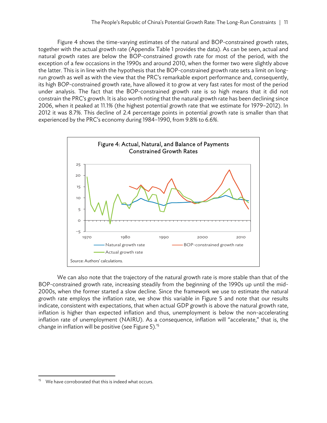Figure 4 shows the time-varying estimates of the natural and BOP-constrained growth rates, together with the actual growth rate (Appendix Table 1 provides the data). As can be seen, actual and natural growth rates are below the BOP-constrained growth rate for most of the period, with the exception of a few occasions in the 1990s and around 2010, when the former two were slightly above the latter. This is in line with the hypothesis that the BOP-constrained growth rate sets a limit on longrun growth as well as with the view that the PRC's remarkable export performance and, consequently, its high BOP-constrained growth rate, have allowed it to grow at very fast rates for most of the period under analysis. The fact that the BOP-constrained growth rate is so high means that it did not constrain the PRC's growth. It is also worth noting that the natural growth rate has been declining since 2006, when it peaked at 11.1% (the highest potential growth rate that we estimate for 1979–2012). In 2012 it was 8.7%. This decline of 2.4 percentage points in potential growth rate is smaller than that experienced by the PRC's economy during 1984–1990, from 9.8% to 6.6%.



We can also note that the trajectory of the natural growth rate is more stable than that of the BOP-constrained growth rate, increasing steadily from the beginning of the 1990s up until the mid-2000s, when the former started a slow decline. Since the framework we use to estimate the natural growth rate employs the inflation rate, we show this variable in Figure 5 and note that our results indicate, consistent with expectations, that when actual GDP growth is above the natural growth rate, inflation is higher than expected inflation and thus, unemployment is below the non-accelerating inflation rate of unemployment (NAIRU). As a consequence, inflation will "accelerate," that is, the change in inflation will be positive (see Figure 5).<sup>15</sup>

 We have corroborated that this is indeed what occurs.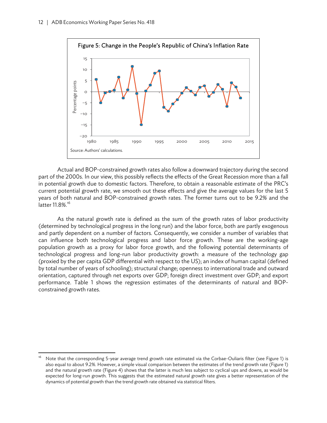

Actual and BOP-constrained growth rates also follow a downward trajectory during the second part of the 2000s. In our view, this possibly reflects the effects of the Great Recession more than a fall in potential growth due to domestic factors. Therefore, to obtain a reasonable estimate of the PRC's current potential growth rate, we smooth out these effects and give the average values for the last 5 years of both natural and BOP-constrained growth rates. The former turns out to be 9.2% and the latter 11.8%.<sup>16</sup>

As the natural growth rate is defined as the sum of the growth rates of labor productivity (determined by technological progress in the long run) and the labor force, both are partly exogenous and partly dependent on a number of factors. Consequently, we consider a number of variables that can influence both technological progress and labor force growth. These are the working-age population growth as a proxy for labor force growth, and the following potential determinants of technological progress and long-run labor productivity growth: a measure of the technology gap (proxied by the per capita GDP differential with respect to the US); an index of human capital (defined by total number of years of schooling); structural change; openness to international trade and outward orientation, captured through net exports over GDP; foreign direct investment over GDP; and export performance. Table 1 shows the regression estimates of the determinants of natural and BOPconstrained growth rates.

Note that the corresponding 5-year average trend growth rate estimated via the Corbae-Ouliaris filter (see Figure 1) is also equal to about 9.2%. However, a simple visual comparison between the estimates of the trend growth rate (Figure 1) and the natural growth rate (Figure 4) shows that the latter is much less subject to cyclical ups and downs, as would be expected for long-run growth. This suggests that the estimated natural growth rate gives a better representation of the dynamics of potential growth than the trend growth rate obtained via statistical filters.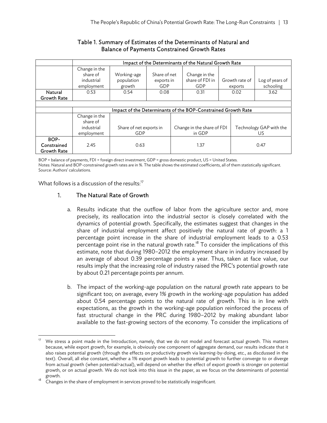#### Table 1. Summary of Estimates of the Determinants of Natural and Balance of Payments Constrained Growth Rates

|                                           | Impact of the Determinants of the Natural Growth Rate         |                                     |                                          |  |                                         |                           |                               |
|-------------------------------------------|---------------------------------------------------------------|-------------------------------------|------------------------------------------|--|-----------------------------------------|---------------------------|-------------------------------|
|                                           | Change in the<br>share of<br>industrial<br>employment         | Working-age<br>population<br>growth | Share of net<br>exports in<br><b>GDP</b> |  | Change in the<br>share of FDI in<br>GDP | Growth rate of<br>exports | Log of years of<br>schooling  |
| Natural<br><b>Growth Rate</b>             | 0.53                                                          | 0.54                                | 0.08                                     |  | 0.31                                    | 0.02                      | 3.62                          |
|                                           |                                                               |                                     |                                          |  |                                         |                           |                               |
|                                           | Impact of the Determinants of the BOP-Constrained Growth Rate |                                     |                                          |  |                                         |                           |                               |
|                                           | Change in the<br>share of<br>industrial<br>employment         | Share of net exports in<br>GDP      |                                          |  | Change in the share of FDI<br>in GDP    |                           | Technology GAP with the<br>US |
| BOP-<br>Constrained<br><b>Growth Rate</b> | 2.45                                                          | 0.63                                |                                          |  | 1.37                                    |                           | 0.47                          |

BOP = balance of payments, FDI = foreign direct investment, GDP = gross domestic product, US = United States. Notes: Natural and BOP-constrained growth rates are in %. The table shows the estimated coefficients, all of them statistically significant. Source: Authors' calculations.

What follows is a discussion of the results: $17$ 

#### 1. The Natural Rate of Growth

- a. Results indicate that the outflow of labor from the agriculture sector and, more precisely, its reallocation into the industrial sector is closely correlated with the dynamics of potential growth. Specifically, the estimates suggest that changes in the share of industrial employment affect positively the natural rate of growth: a 1 percentage point increase in the share of industrial employment leads to a 0.53 percentage point rise in the natural growth rate.<sup>18</sup> To consider the implications of this estimate, note that during 1980–2012 the employment share in industry increased by an average of about 0.39 percentage points a year. Thus, taken at face value, our results imply that the increasing role of industry raised the PRC's potential growth rate by about 0.21 percentage points per annum.
- b. The impact of the working-age population on the natural growth rate appears to be significant too; on average, every 1% growth in the working-age population has added about 0.54 percentage points to the natural rate of growth. This is in line with expectations, as the growth in the working-age population reinforced the process of fast structural change in the PRC during 1980–2012 by making abundant labor available to the fast-growing sectors of the economy. To consider the implications of

We stress a point made in the Introduction, namely, that we do not model and forecast actual growth. This matters because, while export growth, for example, is obviously one component of aggregate demand, our results indicate that it also raises potential growth (through the effects on productivity growth via learning-by-doing, etc., as discdussed in the text). Overall, all else constant, whether a 1% export growth leads to potential growth to further converge to or diverge from actual growth (when potential>actual), will depend on whether the effect of export growth is stronger on potential growth, or on actual growth. We do not look into this issue in the paper, as we focus on the determinants of potential

<sup>&</sup>lt;sup>18</sup> Changes in the share of employment in services proved to be statistically insignificant.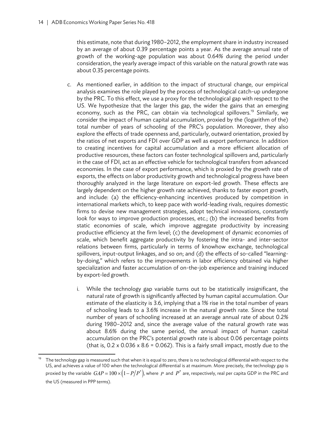this estimate, note that during 1980–2012, the employment share in industry increased by an average of about 0.39 percentage points a year. As the average annual rate of growth of the working-age population was about 0.64% during the period under consideration, the yearly average impact of this variable on the natural growth rate was about 0.35 percentage points.

- c. As mentioned earlier, in addition to the impact of structural change, our empirical analysis examines the role played by the process of technological catch-up undergone by the PRC. To this effect, we use a proxy for the technological gap with respect to the US. We hypothesize that the larger this gap, the wider the gains that an emerging economy, such as the PRC, can obtain via technological spillovers.<sup>19</sup> Similarly, we consider the impact of human capital accumulation, proxied by the (logarithm of the) total number of years of schooling of the PRC's population. Moreover, they also explore the effects of trade openness and, particularly, outward orientation, proxied by the ratios of net exports and FDI over GDP as well as export performance. In addition to creating incentives for capital accumulation and a more efficient allocation of productive resources, these factors can foster technological spillovers and, particularly in the case of FDI, act as an effective vehicle for technological transfers from advanced economies. In the case of export performance, which is proxied by the growth rate of exports, the effects on labor productivity growth and technological progress have been thoroughly analyzed in the large literature on export-led growth. These effects are largely dependent on the higher growth rate achieved, thanks to faster export growth, and include: (a) the efficiency-enhancing incentives produced by competition in international markets which, to keep pace with world-leading rivals, requires domestic firms to devise new management strategies, adopt technical innovations, constantly look for ways to improve production processes, etc.; (b) the increased benefits from static economies of scale, which improve aggregate productivity by increasing productive efficiency at the firm level; (c) the development of dynamic economies of scale, which benefit aggregate productivity by fostering the intra- and inter-sector relations between firms, particularly in terms of knowhow exchange, technological spillovers, input-output linkages, and so on; and (d) the effects of so-called "learningby-doing," which refers to the improvements in labor efficiency obtained via higher specialization and faster accumulation of on-the-job experience and training induced by export-led growth.
	- i. While the technology gap variable turns out to be statistically insignificant, the natural rate of growth is significantly affected by human capital accumulation. Our estimate of the elasticity is 3.6, implying that a 1% rise in the total number of years of schooling leads to a 3.6% increase in the natural growth rate. Since the total number of years of schooling increased at an average annual rate of about 0.2% during 1980–2012 and, since the average value of the natural growth rate was about 8.6% during the same period, the annual impact of human capital accumulation on the PRC's potential growth rate is about 0.06 percentage points (that is,  $0.2 \times 0.036 \times 8.6 = 0.062$ ). This is a fairly small impact, mostly due to the

The technology gap is measured such that when it is equal to zero, there is no technological differential with respect to the US, and achieves a value of 100 when the technological differential is at maximum. More precisely, the technology gap is proxied by the variable  $\emph{GAP}=100\times\left(1-P/P^*\right),$  where  $\emph{P}$  and  $\emph{P}^*$  are, respectively, real per capita GDP in the PRC and the US (measured in PPP terms).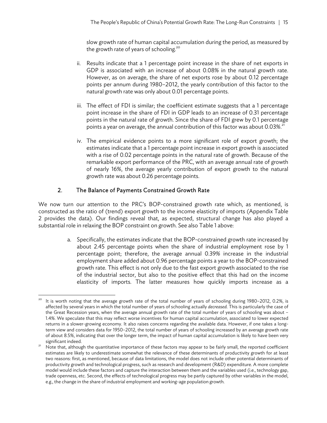slow growth rate of human capital accumulation during the period, as measured by the growth rate of years of schooling.<sup>20</sup>

- ii. Results indicate that a 1 percentage point increase in the share of net exports in GDP is associated with an increase of about 0.08% in the natural growth rate. However, as on average, the share of net exports rose by about 0.12 percentage points per annum during 1980–2012, the yearly contribution of this factor to the natural growth rate was only about 0.01 percentage points.
- iii. The effect of FDI is similar; the coefficient estimate suggests that a 1 percentage point increase in the share of FDI in GDP leads to an increase of 0.31 percentage points in the natural rate of growth. Since the share of FDI grew by 0.1 percentage points a year on average, the annual contribution of this factor was about  $0.03\%$ <sup>21</sup>
- iv. The empirical evidence points to a more significant role of export growth; the estimates indicate that a 1 percentage point increase in export growth is associated with a rise of 0.02 percentage points in the natural rate of growth. Because of the remarkable export performance of the PRC, with an average annual rate of growth of nearly 16%, the average yearly contribution of export growth to the natural growth rate was about 0.26 percentage points.

# 2. The Balance of Payments Constrained Growth Rate

We now turn our attention to the PRC's BOP-constrained growth rate which, as mentioned, is constructed as the ratio of (trend) export growth to the income elasticity of imports (Appendix Table 2 provides the data). Our findings reveal that, as expected, structural change has also played a substantial role in relaxing the BOP constraint on growth. See also Table 1 above:

> a. Specifically, the estimates indicate that the BOP-constrained growth rate increased by about 2.45 percentage points when the share of industrial employment rose by 1 percentage point; therefore, the average annual 0.39% increase in the industrial employment share added about 0.96 percentage points a year to the BOP-constrained growth rate. This effect is not only due to the fast export growth associated to the rise of the industrial sector, but also to the positive effect that this had on the income elasticity of imports. The latter measures how quickly imports increase as a

 20 It is worth noting that the average growth rate of the total number of years of schooling during 1980–2012, 0.2%, is affected by several years in which the total number of years of schooling actually *decreased*. This is particularly the case of the Great Recession years, when the average annual growth rate of the total number of years of schooling was about – 1.4%. We speculate that this may reflect worse incentives for human capital accumulation, associated to lower expected returns in a slower-growing economy. It also raises concerns regarding the available data. However, if one takes a longterm view and considers data for 1950–2012, the total number of years of schooling increased by an average growth rate of about 8.5%, indicating that over the longer term, the impact of human capital accumulation is likely to have been very significant indeed.<br>Note that, although the quantitative importance of these factors may appear to be fairly small, the reported coefficient

estimates are likely to underestimate somewhat the relevance of these determinants of productivity growth for at least two reasons: first, as mentioned, because of data limitations, the model does not include other potential determinants of productivity growth and technological progress, such as research and development (R&D) expenditure. A more complete model would include these factors and capture the interaction between them and the variables used (i.e., technology gap, trade openness, etc. Second, the effects of technological progress may be partly captured by other variables in the model, e.g., the change in the share of industrial employment and working-age population growth.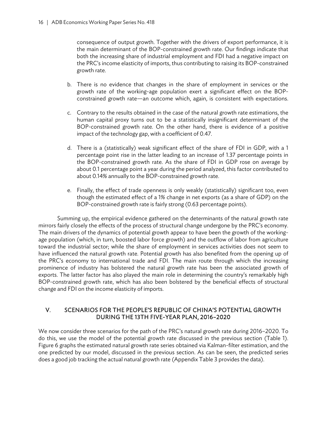consequence of output growth. Together with the drivers of export performance, it is the main determinant of the BOP-constrained growth rate. Our findings indicate that both the increasing share of industrial employment and FDI had a negative impact on the PRC's income elasticity of imports, thus contributing to raising its BOP-constrained growth rate.

- b. There is no evidence that changes in the share of employment in services or the growth rate of the working-age population exert a significant effect on the BOPconstrained growth rate—an outcome which, again, is consistent with expectations.
- c. Contrary to the results obtained in the case of the natural growth rate estimations, the human capital proxy turns out to be a statistically insignificant determinant of the BOP-constrained growth rate. On the other hand, there is evidence of a positive impact of the technology gap, with a coefficient of 0.47.
- d. There is a (statistically) weak significant effect of the share of FDI in GDP, with a 1 percentage point rise in the latter leading to an increase of 1.37 percentage points in the BOP-constrained growth rate. As the share of FDI in GDP rose on average by about 0.1 percentage point a year during the period analyzed, this factor contributed to about 0.14% annually to the BOP-constrained growth rate.
- e. Finally, the effect of trade openness is only weakly (statistically) significant too, even though the estimated effect of a 1% change in net exports (as a share of GDP) on the BOP-constrained growth rate is fairly strong (0.63 percentage points).

Summing up, the empirical evidence gathered on the determinants of the natural growth rate mirrors fairly closely the effects of the process of structural change undergone by the PRC's economy. The main drivers of the dynamics of potential growth appear to have been the growth of the workingage population (which, in turn, boosted labor force growth) and the outflow of labor from agriculture toward the industrial sector; while the share of employment in services activities does not seem to have influenced the natural growth rate. Potential growth has also benefited from the opening up of the PRC's economy to international trade and FDI. The main route through which the increasing prominence of industry has bolstered the natural growth rate has been the associated growth of exports. The latter factor has also played the main role in determining the country's remarkably high BOP-constrained growth rate, which has also been bolstered by the beneficial effects of structural change and FDI on the income elasticity of imports.

## V. SCENARIOS FOR THE PEOPLE'S REPUBLIC OF CHINA'S POTENTIAL GROWTH DURING THE 13TH FIVE-YEAR PLAN, 2016–2020

We now consider three scenarios for the path of the PRC's natural growth rate during 2016–2020. To do this, we use the model of the potential growth rate discussed in the previous section (Table 1). Figure 6 graphs the estimated natural growth rate series obtained via Kalman-filter estimation, and the one predicted by our model, discussed in the previous section. As can be seen, the predicted series does a good job tracking the actual natural growth rate (Appendix Table 3 provides the data).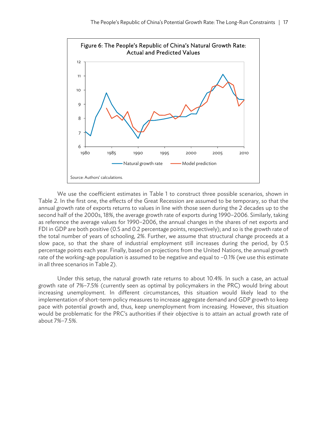

We use the coefficient estimates in Table 1 to construct three possible scenarios, shown in Table 2. In the first one, the effects of the Great Recession are assumed to be temporary, so that the annual growth rate of exports returns to values in line with those seen during the 2 decades up to the second half of the 2000s, 18%, the average growth rate of exports during 1990–2006. Similarly, taking as reference the average values for 1990–2006, the annual changes in the shares of net exports and FDI in GDP are both positive (0.5 and 0.2 percentage points, respectively); and so is the growth rate of the total number of years of schooling, 2%. Further, we assume that structural change proceeds at a slow pace, so that the share of industrial employment still increases during the period, by 0.5 percentage points each year. Finally, based on projections from the United Nations, the annual growth rate of the working-age population is assumed to be negative and equal to –0.1% (we use this estimate in all three scenarios in Table 2).

Under this setup, the natural growth rate returns to about 10.4%. In such a case, an actual growth rate of 7%–7.5% (currently seen as optimal by policymakers in the PRC) would bring about increasing unemployment. In different circumstances, this situation would likely lead to the implementation of short-term policy measures to increase aggregate demand and GDP growth to keep pace with potential growth and, thus, keep unemployment from increasing. However, this situation would be problematic for the PRC's authorities if their objective is to attain an actual growth rate of about 7%–7.5%.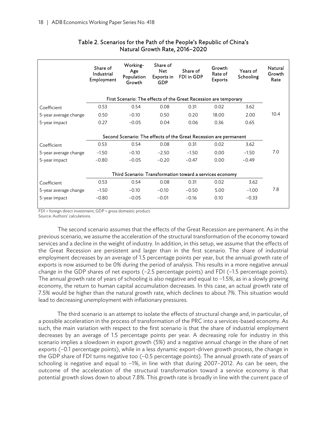|                       | Share of<br>Industrial<br>Employment | Working-<br>Age<br>Population<br>Growth | Share of<br><b>Net</b><br>Exports in<br><b>GDP</b> | Share of<br>FDI in GDP                                            | Growth<br>Rate of<br><b>Exports</b> | Years of<br>Schooling | Natural<br>Growth<br>Rate |
|-----------------------|--------------------------------------|-----------------------------------------|----------------------------------------------------|-------------------------------------------------------------------|-------------------------------------|-----------------------|---------------------------|
|                       |                                      |                                         |                                                    | First Scenario: The effects of the Great Recession are temporary  |                                     |                       |                           |
| Coefficient           | 0.53                                 | 0.54                                    | 0.08                                               | 0.31                                                              | 0.02                                | 3.62                  |                           |
| 5-year average change | 0.50                                 | $-0.10$                                 | 0.50                                               | 0.20                                                              | 18.00                               | 2.00                  | 10.4                      |
| 5-year impact         | 0.27                                 | $-0.05$                                 | 0.04                                               | 0.06                                                              | 0.36                                | 0.65                  |                           |
|                       |                                      |                                         |                                                    | Second Scenario: The effects of the Great Recession are permanent |                                     |                       |                           |
| Coefficient           | 0.53                                 | 0.54                                    | 0.08                                               | 0.31                                                              | 0.02                                | 3.62                  |                           |
| 5-year average change | $-1.50$                              | $-0.10$                                 | $-2.50$                                            | $-1.50$                                                           | 0.00                                | $-1.50$               | 7.0                       |
| 5-year impact         | $-0.80$                              | $-0.05$                                 | $-0.20$                                            | $-0.47$                                                           | 0.00                                | $-0.49$               |                           |
|                       |                                      |                                         |                                                    | Third Scenario: Transformation toward a services economy          |                                     |                       |                           |
| Coefficient           | 0.53                                 | 0.54                                    | 0.08                                               | 0.31                                                              | 0.02                                | 3.62                  |                           |
| 5-year average change | $-1.50$                              | $-0.10$                                 | $-0.10$                                            | $-0.50$                                                           | 5.00                                | $-1.00$               | 7.8                       |
| 5-year impact         | $-0.80$                              | $-0.05$                                 | $-0.01$                                            | $-0.16$                                                           | 0.10                                | $-0.33$               |                           |
|                       |                                      |                                         |                                                    |                                                                   |                                     |                       |                           |

#### Table 2. Scenarios for the Path of the People's Republic of China's Natural Growth Rate, 2016–2020

FDI = foreign direct investment, GDP = gross domestic product.

Source: Authors' calculations.

The second scenario assumes that the effects of the Great Recession are permanent. As in the previous scenario, we assume the acceleration of the structural transformation of the economy toward services and a decline in the weight of industry. In addition, in this setup, we assume that the effects of the Great Recession are persistent and larger than in the first scenario. The share of industrial employment decreases by an average of 1.5 percentage points per year, but the annual growth rate of exports is now assumed to be 0% during the period of analysis. This results in a more negative annual change in the GDP shares of net exports (–2.5 percentage points) and FDI (–1.5 percentage points). The annual growth rate of years of schooling is also negative and equal to –1.5%, as in a slowly growing economy, the return to human capital accumulation decreases. In this case, an actual growth rate of 7.5% would be higher than the natural growth rate, which declines to about 7%. This situation would lead to decreasing unemployment with inflationary pressures.

The third scenario is an attempt to isolate the effects of structural change and, in particular, of a possible acceleration in the process of transformation of the PRC into a services-based economy. As such, the main variation with respect to the first scenario is that the share of industrial employment decreases by an average of 1.5 percentage points per year. A decreasing role for industry in this scenario implies a slowdown in export growth (5%) and a negative annual change in the share of net exports (–0.1 percentage points), while in a less dynamic export-driven growth process, the change in the GDP share of FDI turns negative too (–0.5 percentage points). The annual growth rate of years of schooling is negative and equal to –1%, in line with that during 2007–2012. As can be seen, the outcome of the acceleration of the structural transformation toward a service economy is that potential growth slows down to about 7.8%. This growth rate is broadly in line with the current pace of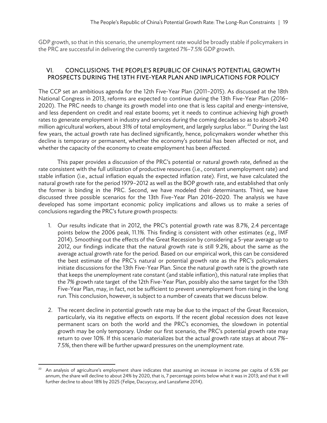GDP growth, so that in this scenario, the unemployment rate would be broadly stable if policymakers in the PRC are successful in delivering the currently targeted 7%–7.5% GDP growth.

#### VI. CONCLUSIONS: THE PEOPLE'S REPUBLIC OF CHINA'S POTENTIAL GROWTH PROSPECTS DURING THE 13TH FIVE-YEAR PLAN AND IMPLICATIONS FOR POLICY

The CCP set an ambitious agenda for the 12th Five-Year Plan (2011–2015). As discussed at the 18th National Congress in 2013, reforms are expected to continue during the 13th Five-Year Plan (2016– 2020). The PRC needs to change its growth model into one that is less capital and energy-intensive, and less dependent on credit and real estate booms; yet it needs to continue achieving high growth rates to generate employment in industry and services during the coming decades so as to absorb 240 million agricultural workers, about 31% of total employment, and largely surplus labor.<sup>22</sup> During the last few years, the actual growth rate has declined significantly, hence, policymakers wonder whether this decline is temporary or permanent, whether the economy's potential has been affected or not, and whether the capacity of the economy to create employment has been affected.

This paper provides a discussion of the PRC's potential or natural growth rate, defined as the rate consistent with the full utilization of productive resources (i.e., constant unemployment rate) and stable inflation (i.e., actual inflation equals the expected inflation rate). First, we have calculated the natural growth rate for the period 1979–2012 as well as the BOP growth rate, and established that only the former is binding in the PRC. Second, we have modeled their determinants. Third, we have discussed three possible scenarios for the 13th Five-Year Plan 2016–2020. The analysis we have developed has some important economic policy implications and allows us to make a series of conclusions regarding the PRC's future growth prospects:

- 1. Our results indicate that in 2012, the PRC's potential growth rate was 8.7%, 2.4 percentage points below the 2006 peak, 11.1%. This finding is consistent with other estimates (e.g., IMF 2014). Smoothing out the effects of the Great Recession by considering a 5-year average up to 2012, our findings indicate that the natural growth rate is still 9.2%, about the same as the average actual growth rate for the period. Based on our empirical work, this can be considered the best estimate of the PRC's natural or potential growth rate as the PRC's policymakers initiate discussions for the 13th Five-Year Plan. Since the natural growth rate is the growth rate that keeps the unemployment rate constant (and stable inflation), this natural rate implies that the 7% growth rate target of the 12th Five-Year Plan, possibly also the same target for the 13th Five-Year Plan, may, in fact, not be sufficient to prevent unemployment from rising in the long run. This conclusion, however, is subject to a number of caveats that we discuss below.
- 2. The recent decline in potential growth rate may be due to the impact of the Great Recession, particularly, via its negative effects on exports. If the recent global recession does not leave permanent scars on both the world and the PRC's economies, the slowdown in potential growth may be only temporary. Under our first scenario, the PRC's potential growth rate may return to over 10%. If this scenario materializes but the actual growth rate stays at about 7%– 7.5%, then there will be further upward pressures on the unemployment rate.

 22 An analysis of agriculture's employment share indicates that assuming an increase in income per capita of 6.5% per annum, the share will decline to about 24% by 2020, that is, 7 percentage points below what it was in 2013; and that it will further decline to about 18% by 2025 (Felipe, Dacuycuy, and Lanzafame 2014).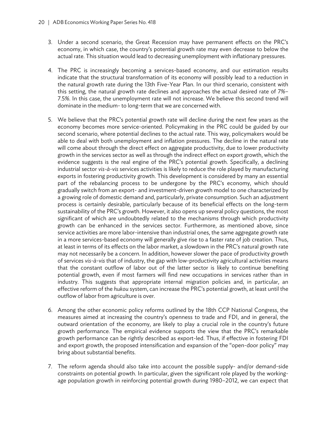- 3. Under a second scenario, the Great Recession may have permanent effects on the PRC's economy, in which case, the country's potential growth rate may even decrease to below the actual rate. This situation would lead to decreasing unemployment with inflationary pressures.
- 4. The PRC is increasingly becoming a services-based economy, and our estimation results indicate that the structural transformation of its economy will possibly lead to a reduction in the natural growth rate during the 13th Five-Year Plan. In our third scenario, consistent with this setting, the natural growth rate declines and approaches the actual desired rate of 7%– 7.5%. In this case, the unemployment rate will not increase. We believe this second trend will dominate in the medium- to long-term that we are concerned with.
- 5. We believe that the PRC's potential growth rate will decline during the next few years as the economy becomes more service-oriented. Policymaking in the PRC could be guided by our second scenario, where potential declines to the actual rate. This way, policymakers would be able to deal with both unemployment and inflation pressures. The decline in the natural rate will come about through the direct effect on aggregate productivity, due to lower productivity growth in the services sector as well as through the indirect effect on export growth, which the evidence suggests is the real engine of the PRC's potential growth. Specifically, a declining industrial sector *vis-à-vis* services activities is likely to reduce the role played by manufacturing exports in fostering productivity growth. This development is considered by many an essential part of the rebalancing process to be undergone by the PRC's economy, which should gradually switch from an export- and investment-driven growth model to one characterized by a growing role of domestic demand and, particularly, private consumption. Such an adjustment process is certainly desirable, particularly because of its beneficial effects on the long-term sustainability of the PRC's growth. However, it also opens up several policy questions, the most significant of which are undoubtedly related to the mechanisms through which productivity growth can be enhanced in the services sector. Furthermore, as mentioned above, since service activities are more labor-intensive than industrial ones, the same aggregate growth rate in a more services-based economy will generally give rise to a faster rate of job creation. Thus, at least in terms of its effects on the labor market, a slowdown in the PRC's natural growth rate may not necessarily be a concern. In addition, however slower the pace of productivity growth of services *vis-à-vis* that of industry, the gap with low-productivity agricultural activities means that the constant outflow of labor out of the latter sector is likely to continue benefiting potential growth, even if most farmers will find new occupations in services rather than in industry. This suggests that appropriate internal migration policies and, in particular, an effective reform of the *hukou* system, can increase the PRC's potential growth, at least until the outflow of labor from agriculture is over.
- 6. Among the other economic policy reforms outlined by the 18th CCP National Congress, the measures aimed at increasing the country's openness to trade and FDI, and in general, the outward orientation of the economy, are likely to play a crucial role in the country's future growth performance. The empirical evidence supports the view that the PRC's remarkable growth performance can be rightly described as export-led. Thus, if effective in fostering FDI and export growth, the proposed intensification and expansion of the "open-door policy" may bring about substantial benefits.
- 7. The reform agenda should also take into account the possible supply- and/or demand-side constraints on potential growth. In particular, given the significant role played by the workingage population growth in reinforcing potential growth during 1980–2012, we can expect that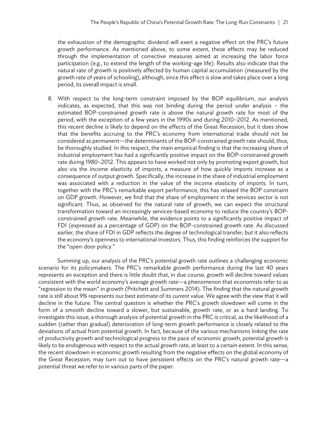the exhaustion of the demographic dividend will exert a negative effect on the PRC's future growth performance. As mentioned above, to some extent, these effects may be reduced through the implementation of corrective measures aimed at increasing the labor force participation (e.g., to extend the length of the working-age life). Results also indicate that the natural rate of growth is positively affected by human capital accumulation (measured by the growth rate of years of schooling), although, since this effect is slow and takes place over a long period, its overall impact is small.

8. With respect to the long-term constraint imposed by the BOP equilibrium, our analysis indicates, as expected, that this was not binding during the period under analysis – the estimated BOP-constrained growth rate is above the natural growth rate for most of the period, with the exception of a few years in the 1990s and during 2010–2012. As mentioned, this recent decline is likely to depend on the effects of the Great Recession, but it does show that the benefits accruing to the PRC's economy from international trade should not be considered as permanent—the determinants of the BOP-constrained growth rate should, thus, be thoroughly studied. In this respect, the main empirical finding is that the increasing share of industrial employment has had a significantly positive impact on the BOP-constrained growth rate during 1980–2012. This appears to have worked not only by promoting export growth, but also via the income elasticity of imports, a measure of how quickly imports increase as a consequence of output growth. Specifically, the increase in the share of industrial employment was associated with a reduction in the value of the income elasticity of imports. In turn, together with the PRC's remarkable export performance, this has relaxed the BOP constraint on GDP growth. However, we find that the share of employment in the services sector is not significant. Thus, as observed for the natural rate of growth, we can expect the structural transformation toward an increasingly services-based economy to reduce the country's BOPconstrained growth rate. Meanwhile, the evidence points to a significantly positive impact of FDI (expressed as a percentage of GDP) on the BOP-constrained growth rate. As discussed earlier, the share of FDI in GDP reflects the degree of technological transfer; but it also reflects the economy's openness to international investors. Thus, this finding reinforces the support for the "open-door policy."

Summing up, our analysis of the PRC's potential growth rate outlines a challenging economic scenario for its policymakers. The PRC's remarkable growth performance during the last 40 years represents an exception and there is little doubt that, in due course, growth will decline toward values consistent with the world economy's average growth rate—a phenomenon that economists refer to as "regression to the mean" in growth (Pritchett and Summers 2014). The finding that the natural growth rate is still about 9% represents our best estimate of its *current* value. We agree with the view that it will decline in the future. The central question is whether the PRC's growth slowdown will come in the form of a smooth decline toward a slower, but sustainable, growth rate, or as a hard landing. To investigate this issue, a thorough analysis of potential growth in the PRC is critical, as the likelihood of a sudden (rather than gradual) deterioration of long-term growth performance is closely related to the deviations of actual from potential growth. In fact, because of the various mechanisms linking the rate of productivity growth and technological progress to the pace of economic growth, potential growth is likely to be endogenous with respect to the actual growth rate, at least to a certain extent. In this sense, the recent slowdown in economic growth resulting from the negative effects on the global economy of the Great Recession, may turn out to have persistent effects on the PRC's natural growth rate—a potential threat we refer to in various parts of the paper.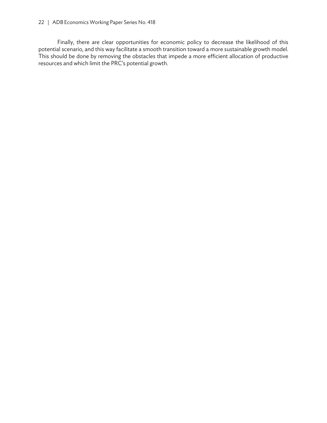#### 22 | ADB Economics Working Paper Series No. 418

Finally, there are clear opportunities for economic policy to decrease the likelihood of this potential scenario, and this way facilitate a smooth transition toward a more sustainable growth model. This should be done by removing the obstacles that impede a more efficient allocation of productive resources and which limit the PRC's potential growth.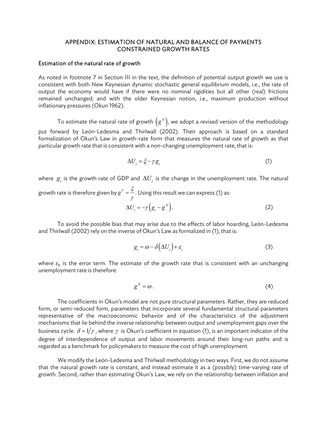#### APPENDIX: ESTIMATION OF NATURAL AND BALANCE OF PAYMENTS CONSTRAINED GROWTH RATES

#### Estimation of the natural rate of growth

As noted in footnote 7 in Section III in the text, the definition of potential output growth we use is consistent with both New Keynesian dynamic stochastic general equilibrium models, i.e., the rate of output the economy would have if there were no nominal rigidities but all other (real) frictions remained unchanged; and with the older Keynesian notion, i.e., maximum production without inflationary pressures (Okun 1962).

To estimate the natural rate of growth  $\left( \overline{g}^{_N} \right)$ , we adopt a revised version of the methodology put forward by León-Ledesma and Thirlwall (2002). Their approach is based on a standard formalization of Okun's Law in growth-rate form that measures the natural rate of growth as that particular growth rate that is consistent with a non-changing unemployment rate, that is:

$$
\Delta U_t = \xi - \gamma g_t \tag{1}
$$

where  $\boldsymbol{g}_t$  is the growth rate of GDP and  $\Delta U_t$  is the change in the unemployment rate. The natural growth rate is therefore given by  $g^{\scriptscriptstyle N}$  =  $\frac{\xi}{\tau}$ γ . Using this result we can express (1) as:

$$
\Delta U_t = -\gamma \left( g_t - g^N \right). \tag{2}
$$

To avoid the possible bias that may arise due to the effects of labor hoarding, León-Ledesma and Thirlwall (2002) rely on the inverse of Okun's Law as formalized in (1), that is:

$$
g_t = \omega - \delta \left( \Delta U_t \right) + \varepsilon_t \tag{3}
$$

where  $\varepsilon_t$  is the error term. The estimate of the growth rate that is consistent with an unchanging unemployment rate is therefore:

$$
g^N = \omega \,. \tag{4}
$$

The coefficients in Okun's model are not pure structural parameters. Rather, they are reduced form, or semi-reduced form, parameters that incorporate several fundamental structural parameters representative of the macroeconomic behavior and of the characteristics of the adjustment mechanisms that lie behind the inverse relationship between output and unemployment gaps over the business cycle.  $\delta = 1/\gamma$ , where  $\gamma$  is Okun's coefficient in equation (1), is an important indicator of the degree of interdependence of output and labor movements around their long-run paths and is regarded as a benchmark for policymakers to measure the cost of high unemployment.

We modify the León-Ledesma and Thirlwall methodology in two ways. First, we do not assume that the natural growth rate is constant, and instead estimate it as a (possibly) time-varying rate of growth. Second, rather than estimating Okun's Law, we rely on the relationship between inflation and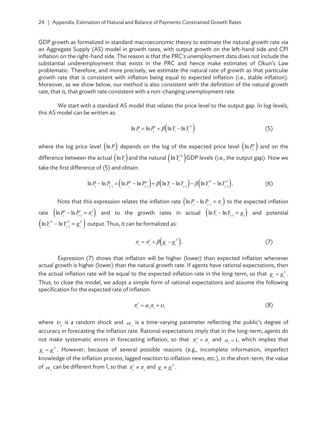GDP growth as formalized in standard macroeconomic theory to estimate the natural growth rate via an Aggregate Supply (AS) model in growth rates, with output growth on the left-hand side and CPI inflation on the right-hand side. The reason is that the PRC's unemployment data does not include the substantial underemployment that exists in the PRC and hence make estimates of Okun's Law problematic. Therefore, and more precisely, we estimate the natural rate of growth as that particular growth rate that is consistent with inflation being equal to expected inflation (i.e., stable inflation). Moreover, as we show below, our method is also consistent with the definition of the natural growth rate, that is, that growth rate consistent with a non-changing unemployment rate.

We start with a standard AS model that relates the price level to the output gap. In log-levels, this AS model can be written as:

$$
\ln P_t = \ln P_t^e + \beta \left( \ln Y_t - \ln Y_t^N \right) \tag{5}
$$

where the log price level  $\left(\ln P_{_{t}}\right)$  depends on the log of the expected price level  $\left(\ln P_{_{t}}^{e}\right)$  and on the difference between the actual  $\left(\ln Y_t\right)$  and the natural  $\left(\ln Y_t^N\right)$ GDP levels (i.e., the output gap). Now we take the first difference of (5) and obtain:

$$
\ln P_{t} - \ln P_{t-1} = \left( \ln P_{t}^{e} - \ln P_{t-1}^{e} \right) + \beta \left( \ln Y_{t} - \ln Y_{t-1} \right) - \beta \left( \ln Y_{t}^{N} - \ln Y_{t-1}^{N} \right). \tag{6}
$$

Note that this expression relates the inflation rate  $\left(\ln P_t - \ln P_{t-1} = \pi_t\right)$  to the expected inflation rate  $\left(\ln P_t^e - \ln P_{t-1}^e = \pi_t^e\right)$  and to the growth rates in actual  $\left(\ln Y_t - \ln Y_{t-1} = g_t\right)$  and potential  $\left(\ln Y_t^N - \ln Y_{t-1}^N = g_t^N\right)$  output. Thus, it can be formalized as:

$$
\pi_{t} = \pi_{t}^{e} + \beta \left(g_{t} - g_{t}^{N}\right). \tag{7}
$$

Expression (7) shows that inflation will be higher (lower) than expected inflation whenever actual growth is higher (lower) than the natural growth rate. If agents have rational expectations, then the actual inflation rate will be equal to the expected inflation rate in the long-term, so that  $g_{_t}$   $=$   $g_{_t}^{\scriptscriptstyle N}$  . Thus, to close the model, we adopt a simple form of rational expectations and assume the following specification for the expected rate of inflation:

$$
\pi_i^e = \alpha_i \pi_i + \nu_i \tag{8}
$$

where  $\, \nu_{_{t}} \,$  is a random shock and  $\, \alpha_{_{t}} \,$  is a time-varying parameter reflecting the public's degree of accuracy in forecasting the inflation rate. Rational expectations imply that in the long-term, agents do not make systematic errors in forecasting inflation, so that  $\pi_i^e = \pi_i$  and  $\alpha_i = 1$ , which implies that  $g_{_{t}} = g_{_{t}}^{^{N}}$ . However, because of several possible reasons (e.g., incomplete information, imperfect knowledge of the inflation process, lagged reaction to inflation news, etc.), in the short-term, the value of  $\alpha_i$  can be different from 1, so that  $\pi_i^e \neq \pi_i$  and  $g_i \neq g_i^N$ .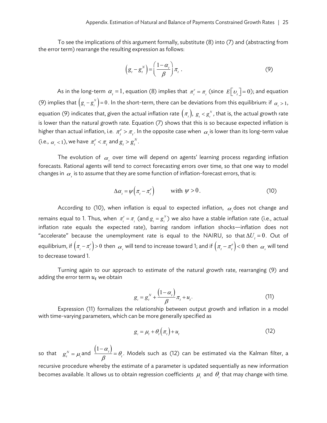To see the implications of this argument formally, substitute (8) into (7) and (abstracting from the error term) rearrange the resulting expression as follows:

$$
\left(g_t - g_t^N\right) = \left(\frac{1 - \alpha_t}{\beta}\right)\pi_t \tag{9}
$$

As in the long-term  $\alpha_t = 1$ , equation (8) implies that  $\pi_i^e = \pi_i$  (since  $E[\nu_i] = 0$ ); and equation (9) implies that  $(g_t - g_t^N) = 0$ . In the short-term, there can be deviations from this equilibrium: if  $\alpha_t > 1$ , equation (9) indicates that, given the actual inflation rate  $\big(\pi_{_t}\big),\ g_{_t}< g_{_t}^\pi,$  that is, the actual growth rate is lower than the natural growth rate. Equation (7) shows that this is so because expected inflation is higher than actual inflation, i.e.  $\pi_i^e > \pi_i$ . In the opposite case when  $\alpha_i$  is lower than its long-term value (i.e.,  $\alpha_i < 1$ ), we have  $\pi_i^e < \pi_i$  and  $g_i > g_i^N$ .

The evolution of  $\alpha_{_{t}}$  over time will depend on agents' learning process regarding inflation forecasts. Rational agents will tend to correct forecasting errors over time, so that one way to model changes in  $\alpha_{_{l}}$  is to assume that they are some function of inflation-forecast errors, that is:

$$
\Delta \alpha_{t} = \psi \left( \pi_{t} - \pi_{t}^{e} \right) \qquad \text{with } \psi > 0. \tag{10}
$$

According to (10), when inflation is equal to expected inflation,  $\alpha_{_{l}}$ does not change and remains equal to 1. Thus, when  $\pi_i^e = \pi_i$  (and  $g_i = g_i^N$ ) we also have a stable inflation rate (i.e., actual inflation rate equals the expected rate), barring random inflation shocks—inflation does not "accelerate" because the unemployment rate is equal to the NAIRU, so that  $\Delta U = 0$ . Out of equilibrium, if  $(\pi_i - \pi_i^e) > 0$  then  $\alpha_i$  will tend to increase toward 1; and if  $(\pi_i - \pi_i^e) < 0$  then  $\alpha_i$  will tend to decrease toward 1.

Turning again to our approach to estimate of the natural growth rate, rearranging (9) and adding the error term  $u_t$  we obtain

$$
g_{i} = g_{i}^{N} + \frac{\left(1 - \alpha_{i}\right)}{\beta} \pi_{i} + u_{i}.
$$
\n(11)

Expression (11) formalizes the relationship between output growth and inflation in a model with time-varying parameters, which can be more generally specified as

$$
g_{i} = \mu_{i} + \theta_{i} \left( \pi_{i} \right) + u_{i} \tag{12}
$$

so that  $g_t^N = \mu_t$  and  $\frac{(1-\alpha_t)^N}{\alpha_t}$  $\frac{f(t)}{\beta} = \theta_t$ . Models such as (12) can be estimated via the Kalman filter, a recursive procedure whereby the estimate of a parameter is updated sequentially as new information becomes available. It allows us to obtain regression coefficients  $\,\mu_{_{\!i}}\,$  and  $\,\theta_{_{\!i}}\,$  that may change with time.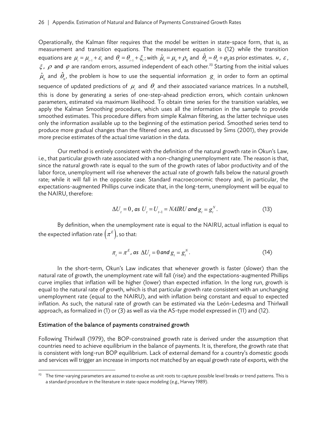Operationally, the Kalman filter requires that the model be written in state-space form, that is, as measurement and transition equations. The measurement equation is (12) while the transition equations are  $\mu_{i} = \mu_{i-1} + \varepsilon_{i}$  and  $\theta_{i} = \theta_{i-1} + \xi_{i}$ ; with  $\hat{\mu}_{0} = \mu_{0} + \rho_{0}$  and  $\hat{\theta}_{0} = \theta_{0} + \varphi_{0}$  as prior estimates.  $u$ ,  $\varepsilon$ ,  $\xi$ ,  $\rho$  and  $\varphi$  are random errors, assumed independent of each other.<sup>23</sup> Starting from the initial values  $\hat{\mu}_{_0}$  and  $\hat{\theta}_{_0}$ , the problem is how to use the sequential information  $\,g_{_t}\,$  in order to form an optimal sequence of updated predictions of  $\mu_{_{\!I}}$  and  $\theta_{_{\!I}}$  and their associated variance matrices. In a nutshell, this is done by generating a series of one-step-ahead prediction errors, which contain unknown parameters, estimated via maximum likelihood. To obtain time series for the transition variables, we apply the Kalman Smoothing procedure, which uses all the information in the sample to provide smoothed estimates. This procedure differs from simple Kalman filtering, as the latter technique uses only the information available up to the beginning of the estimation period. Smoothed series tend to produce more gradual changes than the filtered ones and, as discussed by Sims (2001), they provide more precise estimates of the actual time variation in the data.

Our method is entirely consistent with the definition of the natural growth rate in Okun's Law, i.e., that particular growth rate associated with a non-changing unemployment rate. The reason is that, since the natural growth rate is equal to the sum of the growth rates of labor productivity and of the labor force, unemployment will rise whenever the actual rate of growth falls below the natural growth rate; while it will fall in the opposite case. Standard macroeconomic theory and, in particular, the expectations-augmented Phillips curve indicate that, in the long-term, unemployment will be equal to the NAIRU, therefore:

$$
\Delta U_{t} = 0, \text{ as } U_{t} = U_{t-1} = N\text{AIRU and } g_{t} = g_{t}^{N}. \tag{13}
$$

By definition, when the unemployment rate is equal to the NAIRU, actual inflation is equal to the expected inflation rate  $(\pi^{\scriptscriptstyle E})$ , so that:

$$
\pi_t = \pi^E, \text{ as } \Delta U_t = 0 \text{ and } g_t = g_t^N. \tag{14}
$$

In the short-term, Okun's Law indicates that whenever growth is faster (slower) than the natural rate of growth, the unemployment rate will fall (rise) and the expectations-augmented Phillips curve implies that inflation will be higher (lower) than expected inflation. In the long run, growth is equal to the natural rate of growth, which is that particular growth rate consistent with an unchanging unemployment rate (equal to the NAIRU), and with inflation being constant and equal to expected inflation. As such, the natural rate of growth can be estimated via the León-Ledesma and Thirlwall approach, as formalized in (1) or (3) as well as via the AS-type model expressed in (11) and (12).

#### Estimation of the balance of payments constrained growth

Following Thirlwall (1979), the BOP-constrained growth rate is derived under the assumption that countries need to achieve equilibrium in the balance of payments. It is, therefore, the growth rate that is consistent with long-run BOP equilibrium. Lack of external demand for a country's domestic goods and services will trigger an increase in imports not matched by an equal growth rate of exports, with the

<sup>&</sup>lt;sup>23</sup> The time-varying parameters are assumed to evolve as unit roots to capture possible level breaks or trend patterns. This is a standard procedure in the literature in state-space modeling (e.g., Harvey 1989).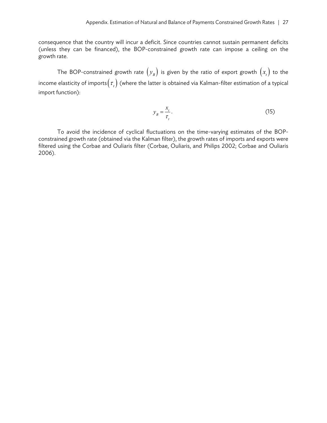consequence that the country will incur a deficit. Since countries cannot sustain permanent deficits (unless they can be financed), the BOP-constrained growth rate can impose a ceiling on the growth rate.

The BOP-constrained growth rate  $(y_B)$  is given by the ratio of export growth  $(x_t)$  to the income elasticity of imports $(\tau_{_t})$  (where the latter is obtained via Kalman-filter estimation of a typical import function):

$$
y_B = \frac{x_t}{\tau_t}.\tag{15}
$$

To avoid the incidence of cyclical fluctuations on the time-varying estimates of the BOPconstrained growth rate (obtained via the Kalman filter), the growth rates of imports and exports were filtered using the Corbae and Ouliaris filter (Corbae, Ouliaris, and Philips 2002; Corbae and Ouliaris 2006).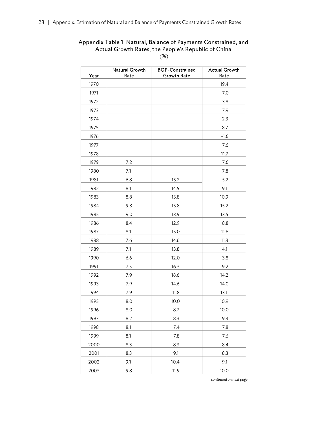# Appendix Table 1: Natural, Balance of Payments Constrained, and Actual Growth Rates, the People's Republic of China

(%)

| Year | Natural Growth<br>Rate | <b>BOP-Constrained</b><br><b>Growth Rate</b> | <b>Actual Growth</b><br>Rate |
|------|------------------------|----------------------------------------------|------------------------------|
| 1970 |                        |                                              | 19.4                         |
| 1971 |                        |                                              | 7.0                          |
| 1972 |                        |                                              | 3.8                          |
| 1973 |                        |                                              | 7.9                          |
| 1974 |                        |                                              | 2.3                          |
| 1975 |                        |                                              | 8.7                          |
| 1976 |                        |                                              | $-1.6$                       |
| 1977 |                        |                                              | 7.6                          |
| 1978 |                        |                                              | 11.7                         |
| 1979 | 7.2                    |                                              | 7.6                          |
| 1980 | 7.1                    |                                              | 7.8                          |
| 1981 | 6.8                    | 15.2                                         | 5.2                          |
| 1982 | 8.1                    | 14.5                                         | 9.1                          |
| 1983 | 8.8                    | 13.8                                         | 10.9                         |
| 1984 | 9.8                    | 15.8                                         | 15.2                         |
| 1985 | 9.0                    | 13.9                                         | 13.5                         |
| 1986 | 8.4                    | 12.9                                         | 8.8                          |
| 1987 | 8.1                    | 15.0                                         | 11.6                         |
| 1988 | 7.6                    | 14.6                                         | 11.3                         |
| 1989 | 7.1                    | 13.8                                         | 4.1                          |
| 1990 | 6.6                    | 12.0                                         | 3.8                          |
| 1991 | 7.5                    | 16.3                                         | 9.2                          |
| 1992 | 7.9                    | 18.6                                         | 14.2                         |
| 1993 | 7.9                    | 14.6                                         | 14.0                         |
| 1994 | 7.9                    | 11.8                                         | 13.1                         |
| 1995 | 8.0                    | 10.0                                         | 10.9                         |
| 1996 | 8.0                    | 8.7                                          | 10.0                         |
| 1997 | 8.2                    | 8.3                                          | 9.3                          |
| 1998 | 8.1                    | 7.4                                          | 7.8                          |
| 1999 | 8.1                    | 7.8                                          | 7.6                          |
| 2000 | 8.3                    | 8.3                                          | 8.4                          |
| 2001 | 8.3                    | 9.1                                          | 8.3                          |
| 2002 | 9.1                    | 10.4                                         | 9.1                          |
| 2003 | 9.8                    | 11.9                                         | 10.0                         |

*continued on next page*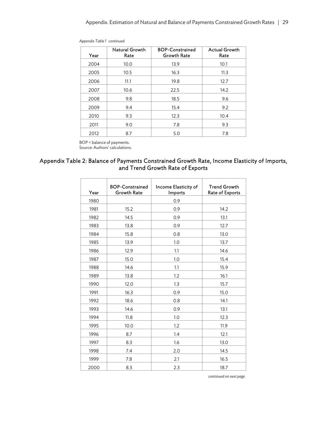| Year | Natural Growth<br>Rate | <b>BOP-Constrained</b><br><b>Growth Rate</b> | <b>Actual Growth</b><br>Rate |
|------|------------------------|----------------------------------------------|------------------------------|
| 2004 | 10.0                   | 13.9                                         | 10.1                         |
| 2005 | 10.5                   | 16.3                                         | 11.3                         |
| 2006 | 11.1                   | 19.8                                         | 12.7                         |
| 2007 | 10.6                   | 22.5                                         | 14.2                         |
| 2008 | 9.8                    | 18.5                                         | 9.6                          |
| 2009 | 9.4                    | 15.4                                         | 9.2                          |
| 2010 | 9.3                    | 12.3                                         | 10.4                         |
| 2011 | 9.0                    | 7.8                                          | 9.3                          |
| 2012 | 8.7                    | 5.0                                          | 7.8                          |

*Appendix Table 1 continued* 

BOP = balance of payments. Source: Authors' calculations.

#### Appendix Table 2: Balance of Payments Constrained Growth Rate, Income Elasticity of Imports, and Trend Growth Rate of Exports

| Year | <b>BOP-Constrained</b><br><b>Growth Rate</b> | Income Elasticity of<br>Imports | <b>Trend Growth</b><br>Rate of Exports |
|------|----------------------------------------------|---------------------------------|----------------------------------------|
| 1980 |                                              | 0.9                             |                                        |
| 1981 | 15.2                                         | 0.9                             | 14.2                                   |
| 1982 | 14.5                                         | 0.9                             | 13.1                                   |
| 1983 | 13.8                                         | 0.9                             | 12.7                                   |
| 1984 | 15.8                                         | 0.8                             | 13.0                                   |
| 1985 | 13.9                                         | 1.0                             | 13.7                                   |
| 1986 | 12.9                                         | 1.1                             | 14.6                                   |
| 1987 | 15.0                                         | 1.0                             | 15.4                                   |
| 1988 | 14.6                                         | 1.1                             | 15.9                                   |
| 1989 | 13.8                                         | 1.2                             | 16.1                                   |
| 1990 | 12.0                                         | 1.3                             | 15.7                                   |
| 1991 | 16.3                                         | 0.9                             | 15.0                                   |
| 1992 | 18.6                                         | 0.8                             | 14.1                                   |
| 1993 | 14.6                                         | 0.9                             | 13.1                                   |
| 1994 | 11.8                                         | 1.0                             | 12.3                                   |
| 1995 | 10.0                                         | 1.2                             | 11.9                                   |
| 1996 | 8.7                                          | 1.4                             | 12.1                                   |
| 1997 | 8.3                                          | 1.6                             | 13.0                                   |
| 1998 | 7.4                                          | 2.0                             | 14.5                                   |
| 1999 | 7.8                                          | 2.1                             | 16.5                                   |
| 2000 | 8.3                                          | 2.3                             | 18.7                                   |

*continued on next page*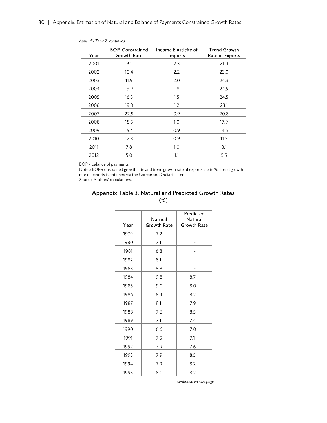| Year | <b>BOP-Constrained</b><br><b>Growth Rate</b> | Income Elasticity of<br>Imports | <b>Trend Growth</b><br>Rate of Exports |
|------|----------------------------------------------|---------------------------------|----------------------------------------|
| 2001 | 9.1                                          | 2.3                             | 21.0                                   |
| 2002 | 10.4                                         | 2.2                             | 23.0                                   |
| 2003 | 11.9                                         | 2.0                             | 24.3                                   |
| 2004 | 13.9                                         | 1.8                             | 24.9                                   |
| 2005 | 16.3                                         | 1.5                             | 24.5                                   |
| 2006 | 19.8                                         | 1.2                             | 23.1                                   |
| 2007 | 22.5                                         | 0.9                             | 20.8                                   |
| 2008 | 18.5                                         | 1.0                             | 17.9                                   |
| 2009 | 15.4                                         | 0.9                             | 14.6                                   |
| 2010 | 12.3                                         | 0.9                             | 11.2                                   |
| 2011 | 7.8                                          | 1.0                             | 8.1                                    |
| 2012 | 5.0                                          | 1.1                             | 5.5                                    |

*Appendix Table 2 continued* 

BOP = balance of payments.

Notes: BOP-constrained growth rate and trend growth rate of exports are in %. Trend growth rate of exports is obtained via the Corbae and Ouliaris filter.

Source: Authors' calculations.

#### Appendix Table 3: Natural and Predicted Growth Rates (%)

| Year | Natural<br>Growth Rate | Predicted<br>Natural<br>Growth Rate |
|------|------------------------|-------------------------------------|
| 1979 | 7.2                    |                                     |
| 1980 | 7.1                    |                                     |
| 1981 | 6.8                    |                                     |
| 1982 | 8.1                    |                                     |
| 1983 | 8.8                    |                                     |
| 1984 | 9.8                    | 8.7                                 |
| 1985 | 9.0                    | 8.0                                 |
| 1986 | 8.4                    | 8.2                                 |
| 1987 | 8.1                    | 7.9                                 |
| 1988 | 7.6                    | 8.5                                 |
| 1989 | 7.1                    | 7.4                                 |
| 1990 | 6.6                    | 7.0                                 |
| 1991 | 7.5                    | 7.1                                 |
| 1992 | 7.9                    | 7.6                                 |
| 1993 | 7.9                    | 8.5                                 |
| 1994 | 7.9                    | 8.2                                 |
| 1995 | 8.0                    | 8.2                                 |

*continued on next page*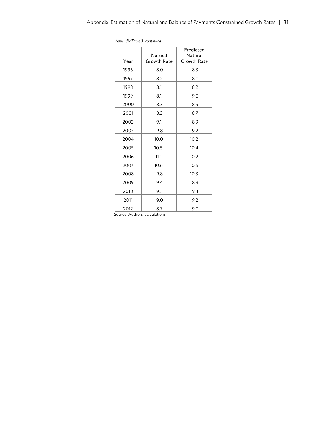| Year | Natural<br>Growth Rate | Predicted<br>Natural<br>Growth Rate |
|------|------------------------|-------------------------------------|
| 1996 | 8.0                    | 8.3                                 |
| 1997 | 8.2                    | 8.0                                 |
| 1998 | 8.1                    | 8.2                                 |
| 1999 | 8.1                    | 9.0                                 |
| 2000 | 8.3                    | 8.5                                 |
| 2001 | 8.3                    | 8.7                                 |
| 2002 | 9.1                    | 8.9                                 |
| 2003 | 9.8                    | 9.2                                 |
| 2004 | 10.0                   | 10.2                                |
| 2005 | 10.5                   | 10.4                                |
| 2006 | 11.1                   | 10.2                                |
| 2007 | 10.6                   | 10.6                                |
| 2008 | 9.8                    | 10.3                                |
| 2009 | 9.4                    | 8.9                                 |
| 2010 | 9.3                    | 9.3                                 |
| 2011 | 9.0                    | 9.2                                 |
| 2012 | 8.7                    | 9.0                                 |
|      |                        |                                     |

*Appendix Table 3 continued* 

Source: Authors' calculations.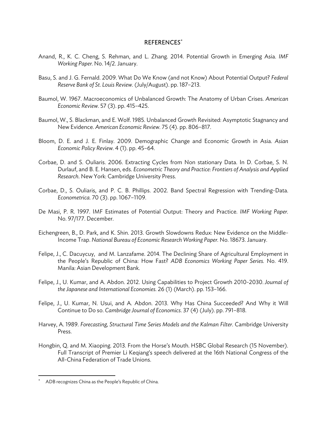#### REFERENCES

- Anand, R., K. C. Cheng, S. Rehman, and L. Zhang. 2014. Potential Growth in Emerging Asia. *IMF Working Paper.* No. 14/2. January.
- Basu, S. and J. G. Fernald. 2009. What Do We Know (and not Know) About Potential Output? *Federal Reserve Bank of St. Louis Review.* (July/August). pp. 187–213.
- Baumol, W. 1967. Macroeconomics of Unbalanced Growth: The Anatomy of Urban Crises. *American Economic Review.* 57 (3). pp. 415–425.
- Baumol, W., S. Blackman, and E. Wolf. 1985. Unbalanced Growth Revisited: Asymptotic Stagnancy and New Evidence. *American Economic Review.* 75 (4). pp. 806–817.
- Bloom, D. E. and J. E. Finlay. 2009. Demographic Change and Economic Growth in Asia. *Asian Economic Policy Review.* 4 (1). pp. 45–64.
- Corbae, D. and S. Ouliaris. 2006. Extracting Cycles from Non stationary Data. In D. Corbae, S. N. Durlauf, and B. E. Hansen, eds. *Econometric Theory and Practice: Frontiers of Analysis and Applied Research*. New York: Cambridge University Press.
- Corbae, D., S. Ouliaris, and P. C. B. Phillips. 2002. Band Spectral Regression with Trending-Data. *Econometrica.* 70 (3). pp. 1067–1109.
- De Masi, P. R. 1997. IMF Estimates of Potential Output: Theory and Practice. *IMF Working Paper.* No. 97/177. December.
- Eichengreen, B., D. Park, and K. Shin. 2013. Growth Slowdowns Redux: New Evidence on the Middle-Income Trap. *National Bureau of Economic Research Working Paper.* No. 18673. January.
- Felipe, J., C. Dacuycuy, and M. Lanzafame. 2014. The Declining Share of Agricultural Employment in the People's Republic of China: How Fast? *ADB Economics Working Paper Series.* No. 419. Manila: Asian Development Bank.
- Felipe, J., U. Kumar, and A. Abdon. 2012. Using Capabilities to Project Growth 2010-2030. *Journal of the Japanese and International Economies.* 26 (1) (March). pp. 153–166.
- Felipe, J., U. Kumar, N. Usui, and A. Abdon. 2013. Why Has China Succeeded? And Why it Will Continue to Do so. *Cambridge Journal of Economics*. 37 (4) (July). pp. 791–818.
- Harvey, A. 1989. *Forecasting, Structural Time Series Models and the Kalman Filter*. Cambridge University Press.
- Hongbin, Q. and M. Xiaoping. 2013. From the Horse's Mouth. HSBC Global Research (15 November). Full Transcript of Premier Li Keqiang's speech delivered at the 16th National Congress of the All-China Federation of Trade Unions.

<sup>\*</sup> ADB recognizes China as the People's Republic of China.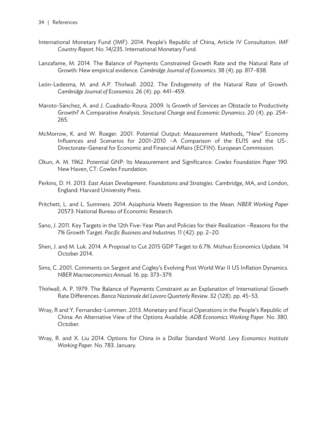- International Monetary Fund (IMF). 2014. People's Republic of China, Article IV Consultation. *IMF Country Report.* No. 14/235. International Monetary Fund.
- Lanzafame, M. 2014. The Balance of Payments Constrained Growth Rate and the Natural Rate of Growth: New empirical evidence. *Cambridge Journal of Economics.* 38 (4). pp. 817–838.
- León-Ledesma, M. and A.P. Thirlwall. 2002. The Endogeneity of the Natural Rate of Growth. *Cambridge Journal of Economics.* 26 (4). pp. 441–459.
- Maroto-Sánchez, A. and J. Cuadrado-Roura. 2009. Is Growth of Services an Obstacle to Productivity Growth? A Comparative Analysis. *Structural Change and Economic Dynamics*. 20 (4). pp. 254– 265.
- McMorrow, K. and W. Roeger. 2001. Potential Output: Measurement Methods, "New" Economy Influences and Scenarios for 2001-2010 –A Comparison of the EU15 and the US-. Directorate-General for Economic and Financial Affairs (ECFIN). European Commission.
- Okun, A. M. 1962. Potential GNP: Its Measurement and Significance. *Cowles Foundation Paper* 190. New Haven, CT: Cowles Foundation.
- Perkins, D. H. 2013. *East Asian Development. Foundations and Strategies*. Cambridge, MA, and London, England: Harvard University Press.
- Pritchett, L. and L. Summers. 2014. Asiaphoria Meets Regression to the Mean. *NBER Working Paper* 20573. National Bureau of Economic Research.
- Sano, J. 2011. Key Targets in the 12th Five-Year Plan and Policies for their Realization –Reasons for the 7% Growth Target. *Pacific Business and Industries.* 11 (42). pp. 2–20.
- Shen, J. and M. Luk. 2014. A Proposal to Cut 2015 GDP Target to 6.7%. Mizhuo Economics Update. 14 October 2014.
- Sims, C. 2001. Comments on Sargent and Cogley's Evolving Post World War II US Inflation Dynamics. *NBER Macroeconomics Annual*. 16. pp. 373–379.
- Thirlwall, A. P. 1979. The Balance of Payments Constraint as an Explanation of International Growth Rate Differences. *Banca Nazionale del Lavoro Quarterly Review.* 32 (128). pp. 45–53.
- Wray, R and Y. Fernandez-Lommen. 2013. Monetary and Fiscal Operations in the People's Republic of China: An Alternative View of the Options Available. *ADB Economics Working Paper.* No. 380. October.
- Wray, R. and X. Liu 2014. Options for China in a Dollar Standard World. *Levy Economics Institute Working Paper.* No. 783. January.